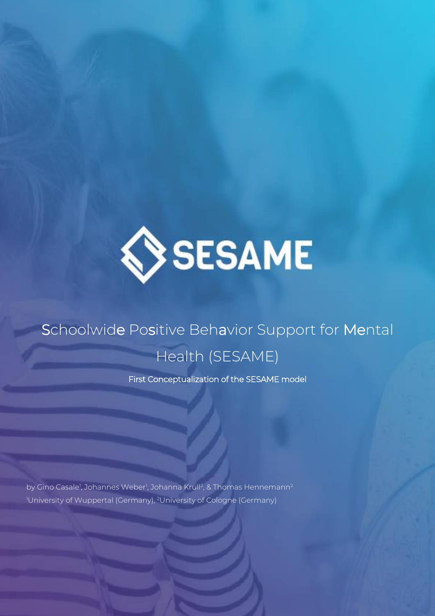

# Schoolwide Positive Behavior Support for Mental Health (SESAME)

First Conceptualization of the SESAME model

by Gino Casale<sup>1</sup>, Johannes Weber<sup>1</sup>, Johanna Krull<sup>2</sup>, & Thomas Hennemann<sup>2</sup> <sup>1</sup>University of Wuppertal (Germany), <sup>2</sup>University of Cologne (Germany)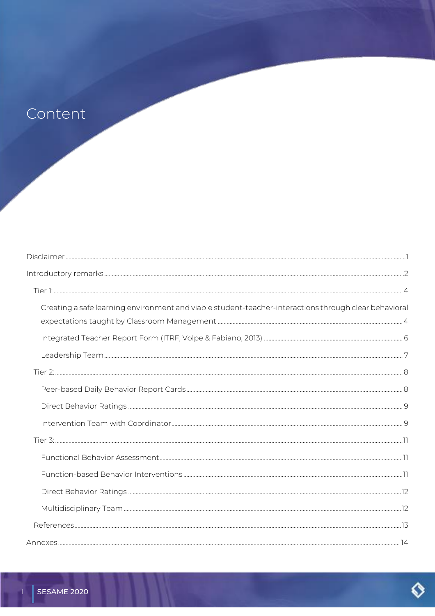# Content

 $-1$   $-1$ 

| Creating a safe learning environment and viable student-teacher-interactions through clear behavioral |  |
|-------------------------------------------------------------------------------------------------------|--|
|                                                                                                       |  |
|                                                                                                       |  |
|                                                                                                       |  |
|                                                                                                       |  |
|                                                                                                       |  |
|                                                                                                       |  |
|                                                                                                       |  |
|                                                                                                       |  |
|                                                                                                       |  |
|                                                                                                       |  |
|                                                                                                       |  |
|                                                                                                       |  |
|                                                                                                       |  |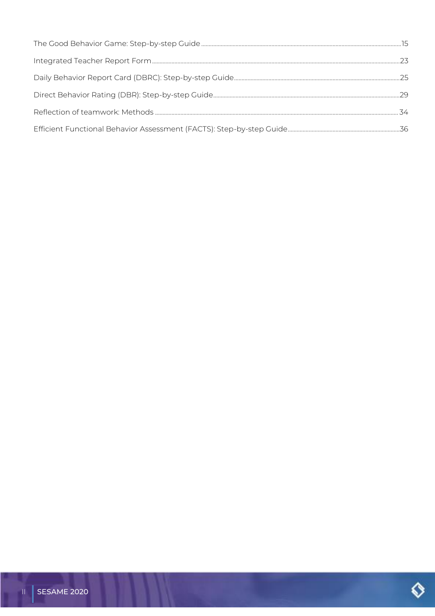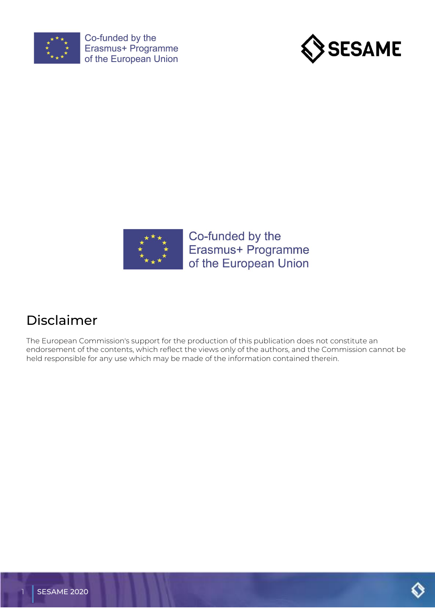





# <span id="page-3-0"></span>Disclaimer

The European Commission's support for the production of this publication does not constitute an endorsement of the contents, which reflect the views only of the authors, and the Commission cannot be held responsible for any use which may be made of the information contained therein.

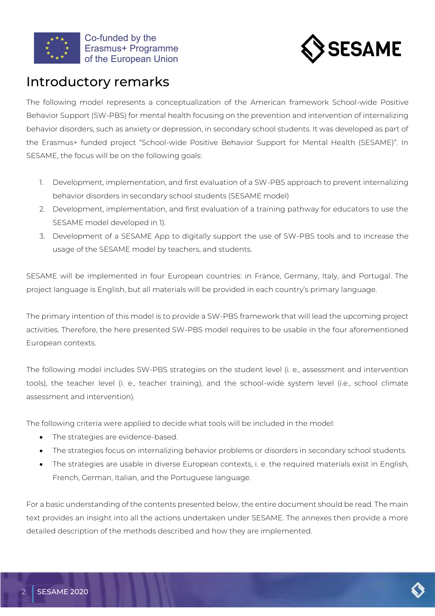



# <span id="page-4-0"></span>Introductory remarks

The following model represents a conceptualization of the American framework School-wide Positive Behavior Support (SW-PBS) for mental health focusing on the prevention and intervention of internalizing behavior disorders, such as anxiety or depression, in secondary school students. It was developed as part of the Erasmus+ funded project "School-wide Positive Behavior Support for Mental Health (SESAME)". In SESAME, the focus will be on the following goals:

- 1. Development, implementation, and first evaluation of a SW-PBS approach to prevent internalizing behavior disorders in secondary school students (SESAME model)
- 2. Development, implementation, and first evaluation of a training pathway for educators to use the SESAME model developed in 1).
- 3. Development of a SESAME App to digitally support the use of SW-PBS tools and to increase the usage of the SESAME model by teachers, and students.

SESAME will be implemented in four European countries: in France, Germany, Italy, and Portugal. The project language is English, but all materials will be provided in each country's primary language.

The primary intention of this model is to provide a SW-PBS framework that will lead the upcoming project activities. Therefore, the here presented SW-PBS model requires to be usable in the four aforementioned European contexts.

The following model includes SW-PBS strategies on the student level (i. e., assessment and intervention tools), the teacher level (i. e., teacher training), and the school-wide system level (i.e., school climate assessment and intervention).

The following criteria were applied to decide what tools will be included in the model:

- The strategies are evidence-based.
- The strategies focus on internalizing behavior problems or disorders in secondary school students.
- The strategies are usable in diverse European contexts, i. e. the required materials exist in English, French, German, Italian, and the Portuguese language.

For a basic understanding of the contents presented below, the entire document should be read. The main text provides an insight into all the actions undertaken under SESAME. The annexes then provide a more detailed description of the methods described and how they are implemented.

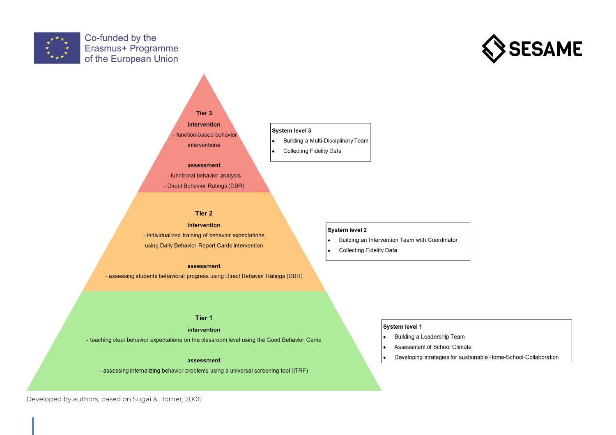





#### assessment

- functional behavior analysis - Direct Behavior Ratings (DBR)

#### Tier 2

intervention - individualized training of behavior expectations using Daily Behavior Report Cards intervention

assessment

- assessing students behavioral progress using Direct Behavior Ratings (DBR)

#### Tier 1

intervention

- teaching clear behavior expectations on the classroom level using the Good Behavior Game

#### assessment

- assessing internalizing behavior problems using a universal screening tool (ITRF)

Building a Multi-Disciplinary Team

**Collecting Fidelity Data** 

#### System level 2

- Building an Intervention Team with Coordinator  $\bullet$
- **Collecting Fidelity Data**  $\bullet$

#### System level 1

- Building a Leadership Team  $\bullet$
- I۰ Assessment of School Climate
- Developing strategies for sustainable Home-School-Collaboration  $\bullet$

Developed by authors, based on Sugai & Horner, 2006

1 SESAME 2020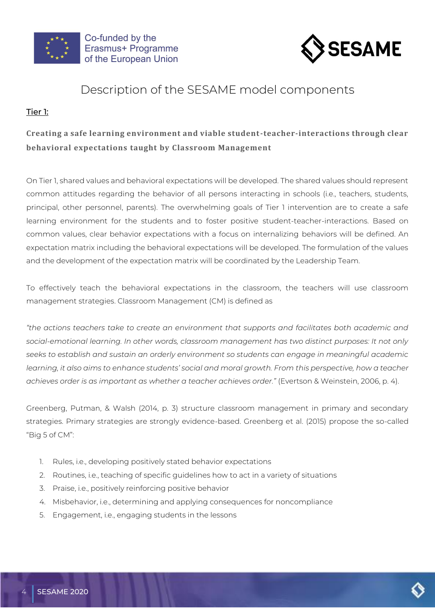



# Description of the SESAME model components

# <span id="page-6-0"></span>Tier 1:

# <span id="page-6-1"></span>**Creating a safe learning environment and viable student-teacher-interactions through clear behavioral expectations taught by Classroom Management**

On Tier 1, shared values and behavioral expectations will be developed. The shared values should represent common attitudes regarding the behavior of all persons interacting in schools (i.e., teachers, students, principal, other personnel, parents). The overwhelming goals of Tier 1 intervention are to create a safe learning environment for the students and to foster positive student-teacher-interactions. Based on common values, clear behavior expectations with a focus on internalizing behaviors will be defined. An expectation matrix including the behavioral expectations will be developed. The formulation of the values and the development of the expectation matrix will be coordinated by the Leadership Team.

To effectively teach the behavioral expectations in the classroom, the teachers will use classroom management strategies. Classroom Management (CM) is defined as

*"the actions teachers take to create an environment that supports and facilitates both academic and social-emotional learning. In other words, classroom management has two distinct purposes: It not only seeks to establish and sustain an orderly environment so students can engage in meaningful academic learning, it also aims to enhance students' social and moral growth. From this perspective, how a teacher achieves order is as important as whether a teacher achieves order."* (Evertson & Weinstein, 2006, p. 4).

Greenberg, Putman, & Walsh (2014, p. 3) structure classroom management in primary and secondary strategies. Primary strategies are strongly evidence-based. Greenberg et al. (2015) propose the so-called "Big 5 of CM":

- 1. Rules, i.e., developing positively stated behavior expectations
- 2. Routines, i.e., teaching of specific guidelines how to act in a variety of situations
- 3. Praise, i.e., positively reinforcing positive behavior
- 4. Misbehavior, i.e., determining and applying consequences for noncompliance
- 5. Engagement, i.e., engaging students in the lessons

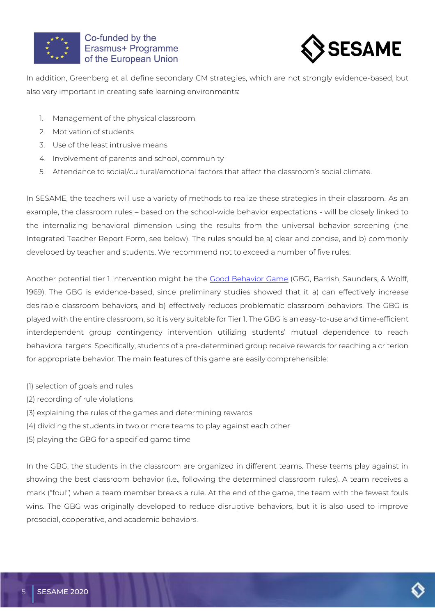



In addition, Greenberg et al. define secondary CM strategies, which are not strongly evidence-based, but also very important in creating safe learning environments:

- 1. Management of the physical classroom
- 2. Motivation of students
- 3. Use of the least intrusive means
- 4. Involvement of parents and school, community
- 5. Attendance to social/cultural/emotional factors that affect the classroom's social climate.

In SESAME, the teachers will use a variety of methods to realize these strategies in their classroom. As an example, the classroom rules – based on the school-wide behavior expectations - will be closely linked to the internalizing behavioral dimension using the results from the universal behavior screening (the Integrated Teacher Report Form, see below). The rules should be a) clear and concise, and b) commonly developed by teacher and students. We recommend not to exceed a number of five rules.

Another potential tier 1 intervention might be the [Good Behavior Game](#page-17-0) (GBG, Barrish, Saunders, & Wolff, 1969). The GBG is evidence-based, since preliminary studies showed that it a) can effectively increase desirable classroom behaviors, and b) effectively reduces problematic classroom behaviors. The GBG is played with the entire classroom, so it is very suitable for Tier 1. The GBG is an easy-to-use and time-efficient interdependent group contingency intervention utilizing students' mutual dependence to reach behavioral targets. Specifically, students of a pre-determined group receive rewards for reaching a criterion for appropriate behavior. The main features of this game are easily comprehensible:

- (1) selection of goals and rules
- (2) recording of rule violations
- (3) explaining the rules of the games and determining rewards
- (4) dividing the students in two or more teams to play against each other
- (5) playing the GBG for a specified game time

In the GBG, the students in the classroom are organized in different teams. These teams play against in showing the best classroom behavior (i.e., following the determined classroom rules). A team receives a mark ("foul") when a team member breaks a rule. At the end of the game, the team with the fewest fouls wins. The GBG was originally developed to reduce disruptive behaviors, but it is also used to improve prosocial, cooperative, and academic behaviors.

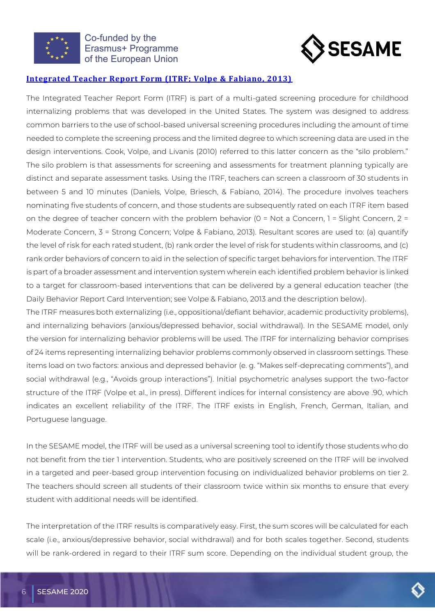



## <span id="page-8-0"></span>**[Integrated Teacher Report Form \(ITRF; Volpe & Fabiano, 2013\)](#page-25-0)**

The Integrated Teacher Report Form (ITRF) is part of a multi-gated screening procedure for childhood internalizing problems that was developed in the United States. The system was designed to address common barriers to the use of school-based universal screening procedures including the amount of time needed to complete the screening process and the limited degree to which screening data are used in the design interventions. Cook, Volpe, and Livanis (2010) referred to this latter concern as the "silo problem." The silo problem is that assessments for screening and assessments for treatment planning typically are distinct and separate assessment tasks. Using the ITRF, teachers can screen a classroom of 30 students in between 5 and 10 minutes (Daniels, Volpe, Briesch, & Fabiano, 2014). The procedure involves teachers nominating five students of concern, and those students are subsequently rated on each ITRF item based on the degree of teacher concern with the problem behavior (0 = Not a Concern, 1 = Slight Concern, 2 = Moderate Concern, 3 = Strong Concern; Volpe & Fabiano, 2013). Resultant scores are used to: (a) quantify the level of risk for each rated student, (b) rank order the level of risk for students within classrooms, and (c) rank order behaviors of concern to aid in the selection of specific target behaviors for intervention. The ITRF is part of a broader assessment and intervention system wherein each identified problem behavior is linked to a target for classroom-based interventions that can be delivered by a general education teacher (the Daily Behavior Report Card Intervention; see Volpe & Fabiano, 2013 and the description below).

The ITRF measures both externalizing (i.e., oppositional/defiant behavior, academic productivity problems), and internalizing behaviors (anxious/depressed behavior, social withdrawal). In the SESAME model, only the version for internalizing behavior problems will be used. The ITRF for internalizing behavior comprises of 24 items representing internalizing behavior problems commonly observed in classroom settings. These items load on two factors: anxious and depressed behavior (e. g. "Makes self-deprecating comments"), and social withdrawal (e.g., "Avoids group interactions"). Initial psychometric analyses support the two-factor structure of the ITRF (Volpe et al., in press). Different indices for internal consistency are above .90, which indicates an excellent reliability of the ITRF. The ITRF exists in English, French, German, Italian, and Portuguese language.

In the SESAME model, the ITRF will be used as a universal screening tool to identify those students who do not benefit from the tier 1 intervention. Students, who are positively screened on the ITRF will be involved in a targeted and peer-based group intervention focusing on individualized behavior problems on tier 2. The teachers should screen all students of their classroom twice within six months to ensure that every student with additional needs will be identified.

The interpretation of the ITRF results is comparatively easy. First, the sum scores will be calculated for each scale (i.e., anxious/depressive behavior, social withdrawal) and for both scales together. Second, students will be rank-ordered in regard to their ITRF sum score. Depending on the individual student group, the

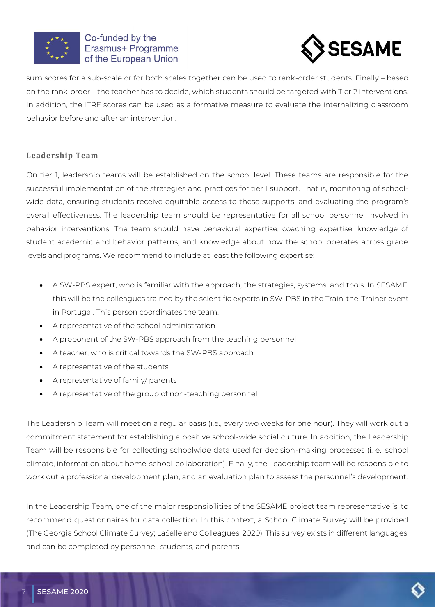



sum scores for a sub-scale or for both scales together can be used to rank-order students. Finally – based on the rank-order – the teacher has to decide, which students should be targeted with Tier 2 interventions. In addition, the ITRF scores can be used as a formative measure to evaluate the internalizing classroom behavior before and after an intervention.

## <span id="page-9-0"></span>**Leadership Team**

On tier 1, leadership teams will be established on the school level. These teams are responsible for the successful implementation of the strategies and practices for tier 1 support. That is, monitoring of schoolwide data, ensuring students receive equitable access to these supports, and evaluating the program's overall effectiveness. The leadership team should be representative for all school personnel involved in behavior interventions. The team should have behavioral expertise, coaching expertise, knowledge of student academic and behavior patterns, and knowledge about how the school operates across grade levels and programs. We recommend to include at least the following expertise:

- A SW-PBS expert, who is familiar with the approach, the strategies, systems, and tools. In SESAME, this will be the colleagues trained by the scientific experts in SW-PBS in the Train-the-Trainer event in Portugal. This person coordinates the team.
- A representative of the school administration
- A proponent of the SW-PBS approach from the teaching personnel
- A teacher, who is critical towards the SW-PBS approach
- A representative of the students
- A representative of family/ parents
- A representative of the group of non-teaching personnel

The Leadership Team will meet on a regular basis (i.e., every two weeks for one hour). They will work out a commitment statement for establishing a positive school-wide social culture. In addition, the Leadership Team will be responsible for collecting schoolwide data used for decision-making processes (i. e., school climate, information about home-school-collaboration). Finally, the Leadership team will be responsible to work out a professional development plan, and an evaluation plan to assess the personnel's development.

In the Leadership Team, one of the major responsibilities of the SESAME project team representative is, to recommend questionnaires for data collection. In this context, a School Climate Survey will be provided (The Georgia School Climate Survey; LaSalle and Colleagues, 2020). This survey exists in different languages, and can be completed by personnel, students, and parents.

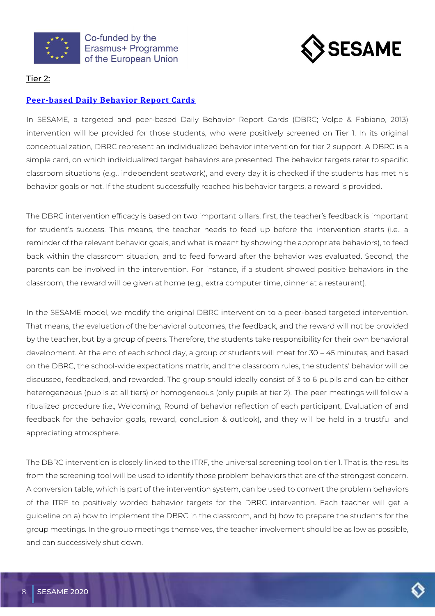



## <span id="page-10-0"></span>Tier 2:

## <span id="page-10-1"></span>**[Peer-based Daily Behavior Report Cards](#page-27-0)**

In SESAME, a targeted and peer-based Daily Behavior Report Cards (DBRC; Volpe & Fabiano, 2013) intervention will be provided for those students, who were positively screened on Tier 1. In its original conceptualization, DBRC represent an individualized behavior intervention for tier 2 support. A DBRC is a simple card, on which individualized target behaviors are presented. The behavior targets refer to specific classroom situations (e.g., independent seatwork), and every day it is checked if the students has met his behavior goals or not. If the student successfully reached his behavior targets, a reward is provided.

The DBRC intervention efficacy is based on two important pillars: first, the teacher's feedback is important for student's success. This means, the teacher needs to feed up before the intervention starts (i.e., a reminder of the relevant behavior goals, and what is meant by showing the appropriate behaviors), to feed back within the classroom situation, and to feed forward after the behavior was evaluated. Second, the parents can be involved in the intervention. For instance, if a student showed positive behaviors in the classroom, the reward will be given at home (e.g., extra computer time, dinner at a restaurant).

In the SESAME model, we modify the original DBRC intervention to a peer-based targeted intervention. That means, the evaluation of the behavioral outcomes, the feedback, and the reward will not be provided by the teacher, but by a group of peers. Therefore, the students take responsibility for their own behavioral development. At the end of each school day, a group of students will meet for 30 – 45 minutes, and based on the DBRC, the school-wide expectations matrix, and the classroom rules, the students' behavior will be discussed, feedbacked, and rewarded. The group should ideally consist of 3 to 6 pupils and can be either heterogeneous (pupils at all tiers) or homogeneous (only pupils at tier 2). The peer meetings will follow a ritualized procedure (i.e., Welcoming, Round of behavior reflection of each participant, Evaluation of and feedback for the behavior goals, reward, conclusion & outlook), and they will be held in a trustful and appreciating atmosphere.

The DBRC intervention is closely linked to the ITRF, the universal screening tool on tier 1. That is, the results from the screening tool will be used to identify those problem behaviors that are of the strongest concern. A conversion table, which is part of the intervention system, can be used to convert the problem behaviors of the ITRF to positively worded behavior targets for the DBRC intervention. Each teacher will get a guideline on a) how to implement the DBRC in the classroom, and b) how to prepare the students for the group meetings. In the group meetings themselves, the teacher involvement should be as low as possible, and can successively shut down.

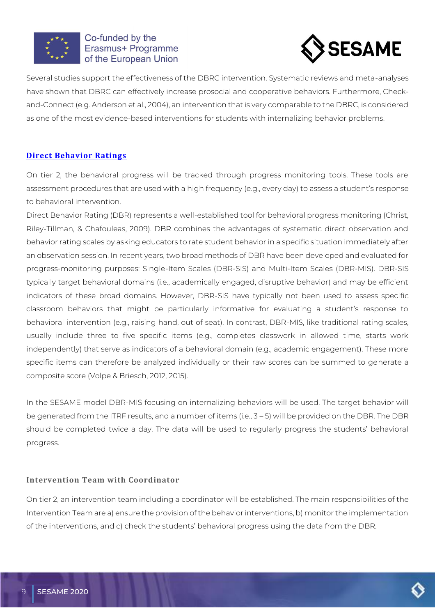



Several studies support the effectiveness of the DBRC intervention. Systematic reviews and meta-analyses have shown that DBRC can effectively increase prosocial and cooperative behaviors. Furthermore, Checkand-Connect (e.g. Anderson et al., 2004), an intervention that is very comparable to the DBRC, is considered as one of the most evidence-based interventions for students with internalizing behavior problems.

# <span id="page-11-0"></span>**[Direct Behavior Ratings](#page-31-0)**

On tier 2, the behavioral progress will be tracked through progress monitoring tools. These tools are assessment procedures that are used with a high frequency (e.g., every day) to assess a student's response to behavioral intervention.

Direct Behavior Rating (DBR) represents a well-established tool for behavioral progress monitoring (Christ, Riley-Tillman, & Chafouleas, 2009). DBR combines the advantages of systematic direct observation and behavior rating scales by asking educators to rate student behavior in a specific situation immediately after an observation session. In recent years, two broad methods of DBR have been developed and evaluated for progress-monitoring purposes: Single-Item Scales (DBR-SIS) and Multi-Item Scales (DBR-MIS). DBR-SIS typically target behavioral domains (i.e., academically engaged, disruptive behavior) and may be efficient indicators of these broad domains. However, DBR-SIS have typically not been used to assess specific classroom behaviors that might be particularly informative for evaluating a student's response to behavioral intervention (e.g., raising hand, out of seat). In contrast, DBR-MIS, like traditional rating scales, usually include three to five specific items (e.g., completes classwork in allowed time, starts work independently) that serve as indicators of a behavioral domain (e.g., academic engagement). These more specific items can therefore be analyzed individually or their raw scores can be summed to generate a composite score (Volpe & Briesch, 2012, 2015).

In the SESAME model DBR-MIS focusing on internalizing behaviors will be used. The target behavior will be generated from the ITRF results, and a number of items (i.e., 3 – 5) will be provided on the DBR. The DBR should be completed twice a day. The data will be used to regularly progress the students' behavioral progress.

# <span id="page-11-1"></span>**Intervention Team with Coordinator**

On tier 2, an intervention team including a coordinator will be established. The main responsibilities of the Intervention Team are a) ensure the provision of the behavior interventions, b) monitor the implementation of the interventions, and c) check the students' behavioral progress using the data from the DBR.

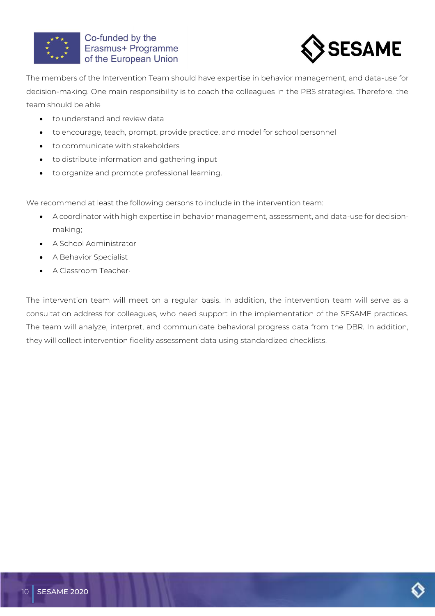



The members of the Intervention Team should have expertise in behavior management, and data-use for decision-making. One main responsibility is to coach the colleagues in the PBS strategies. Therefore, the team should be able

- to understand and review data
- to encourage, teach, prompt, provide practice, and model for school personnel
- to communicate with stakeholders
- to distribute information and gathering input
- to organize and promote professional learning.

We recommend at least the following persons to include in the intervention team:

- A coordinator with high expertise in behavior management, assessment, and data-use for decisionmaking;
- A School Administrator
- A Behavior Specialist
- A Classroom Teacher·

The intervention team will meet on a regular basis. In addition, the intervention team will serve as a consultation address for colleagues, who need support in the implementation of the SESAME practices. The team will analyze, interpret, and communicate behavioral progress data from the DBR. In addition, they will collect intervention fidelity assessment data using standardized checklists.

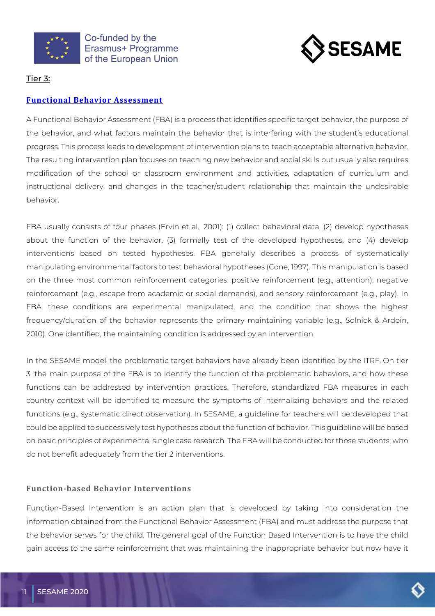



# <span id="page-13-0"></span>Tier 3:

### <span id="page-13-1"></span>**[Functional Behavior Assessment](#page-38-0)**

A Functional Behavior Assessment (FBA) is a process that identifies specific target behavior, the purpose of the behavior, and what factors maintain the behavior that is interfering with the student's educational progress. This process leads to development of intervention plans to teach acceptable alternative behavior. The resulting intervention plan focuses on teaching new behavior and social skills but usually also requires modification of the school or classroom environment and activities, adaptation of curriculum and instructional delivery, and changes in the teacher/student relationship that maintain the undesirable behavior.

FBA usually consists of four phases (Ervin et al., 2001): (1) collect behavioral data, (2) develop hypotheses about the function of the behavior, (3) formally test of the developed hypotheses, and (4) develop interventions based on tested hypotheses. FBA generally describes a process of systematically manipulating environmental factors to test behavioral hypotheses (Cone, 1997). This manipulation is based on the three most common reinforcement categories: positive reinforcement (e.g., attention), negative reinforcement (e.g., escape from academic or social demands), and sensory reinforcement (e.g., play). In FBA, these conditions are experimental manipulated, and the condition that shows the highest frequency/duration of the behavior represents the primary maintaining variable (e.g., Solnick & Ardoin, 2010). One identified, the maintaining condition is addressed by an intervention.

In the SESAME model, the problematic target behaviors have already been identified by the ITRF. On tier 3, the main purpose of the FBA is to identify the function of the problematic behaviors, and how these functions can be addressed by intervention practices. Therefore, standardized FBA measures in each country context will be identified to measure the symptoms of internalizing behaviors and the related functions (e.g., systematic direct observation). In SESAME, a guideline for teachers will be developed that could be applied to successively test hypotheses about the function of behavior. This guideline will be based on basic principles of experimental single case research. The FBA will be conducted for those students, who do not benefit adequately from the tier 2 interventions.

#### <span id="page-13-2"></span>**Function-based Behavior Interventions**

Function-Based Intervention is an action plan that is developed by taking into consideration the information obtained from the Functional Behavior Assessment (FBA) and must address the purpose that the behavior serves for the child. The general goal of the Function Based Intervention is to have the child gain access to the same reinforcement that was maintaining the inappropriate behavior but now have it

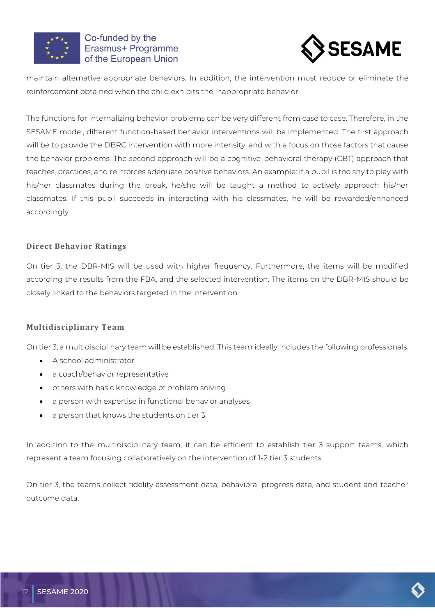



maintain alternative appropriate behaviors. In addition, the intervention must reduce or eliminate the reinforcement obtained when the child exhibits the inappropriate behavior.

The functions for internalizing behavior problems can be very different from case to case. Therefore, in the SESAME model, different function-based behavior interventions will be implemented. The first approach will be to provide the DBRC intervention with more intensity, and with a focus on those factors that cause the behavior problems. The second approach will be a cognitive-behavioral therapy (CBT) approach that teaches, practices, and reinforces adequate positive behaviors. An example: If a pupil is too shy to play with his/her classmates during the break, he/she will be taught a method to actively approach his/her classmates. If this pupil succeeds in interacting with his classmates, he will be rewarded/enhanced accordingly.

## <span id="page-14-0"></span>**Direct Behavior Ratings**

On tier 3, the DBR-MIS will be used with higher frequency. Furthermore, the items will be modified according the results from the FBA, and the selected intervention. The items on the DBR-MIS should be closely linked to the behaviors targeted in the intervention.

## <span id="page-14-1"></span>**Multidisciplinary Team**

On tier 3, a multidisciplinary team will be established. This team ideally includes the following professionals:

- A school administrator
- a coach/behavior representative
- others with basic knowledge of problem solving
- a person with expertise in functional behavior analyses
- a person that knows the students on tier 3

In addition to the multidisciplinary team, it can be efficient to establish tier 3 support teams, which represent a team focusing collaboratively on the intervention of 1-2 tier 3 students.

On tier 3, the teams collect fidelity assessment data, behavioral progress data, and student and teacher outcome data.

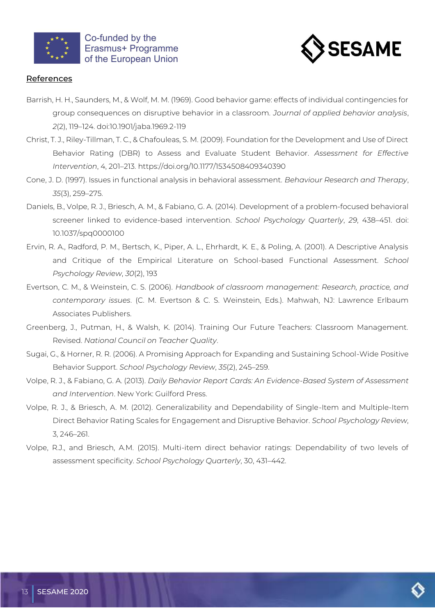



### <span id="page-15-0"></span>**References**

- Barrish, H. H., Saunders, M., & Wolf, M. M. (1969). Good behavior game: effects of individual contingencies for group consequences on disruptive behavior in a classroom. *Journal of applied behavior analysis*, *2*(2), 119–124. doi:10.1901/jaba.1969.2-119
- Christ, T. J., Riley-Tillman, T. C., & Chafouleas, S. M. (2009). Foundation for the Development and Use of Direct Behavior Rating (DBR) to Assess and Evaluate Student Behavior. *Assessment for Effective Intervention*, 4, 201–213. https://doi.org/10.1177/1534508409340390
- Cone, J. D. (1997). Issues in functional analysis in behavioral assessment. *Behaviour Research and Therapy*, *35*(3), 259–275.
- Daniels, B., Volpe, R. J., Briesch, A. M., & Fabiano, G. A. (2014). Development of a problem-focused behavioral screener linked to evidence-based intervention. *School Psychology Quarterly*, *29*, 438–451. doi: 10.1037/spq0000100
- Ervin, R. A., Radford, P. M., Bertsch, K., Piper, A. L., Ehrhardt, K. E., & Poling, A. (2001). A Descriptive Analysis and Critique of the Empirical Literature on School-based Functional Assessment. *School Psychology Review*, *30*(2), 193
- Evertson, C. M., & Weinstein, C. S. (2006). *Handbook of classroom management: Research, practice, and contemporary issues*. (C. M. Evertson & C. S. Weinstein, Eds.). Mahwah, NJ: Lawrence Erlbaum Associates Publishers.
- Greenberg, J., Putman, H., & Walsh, K. (2014). Training Our Future Teachers: Classroom Management. Revised. *National Council on Teacher Quality*.
- Sugai, G., & Horner, R. R. (2006). A Promising Approach for Expanding and Sustaining School-Wide Positive Behavior Support. *School Psychology Review*, *35*(2), 245–259.
- Volpe, R. J., & Fabiano, G. A. (2013). *Daily Behavior Report Cards: An Evidence-Based System of Assessment and Intervention*. New York: Guilford Press.
- Volpe, R. J., & Briesch, A. M. (2012). Generalizability and Dependability of Single-Item and Multiple-Item Direct Behavior Rating Scales for Engagement and Disruptive Behavior. *School Psychology Review*, 3, 246–261.
- Volpe, R.J., and Briesch, A.M. (2015). Multi-item direct behavior ratings: Dependability of two levels of assessment specificity. *School Psychology Quarterly*, 30, 431–442.

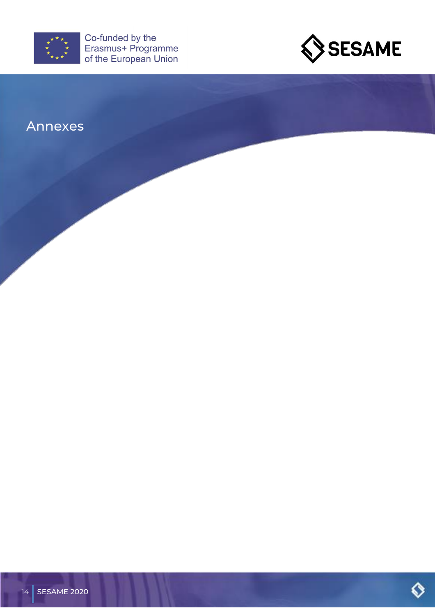



# <span id="page-16-0"></span>Annexes

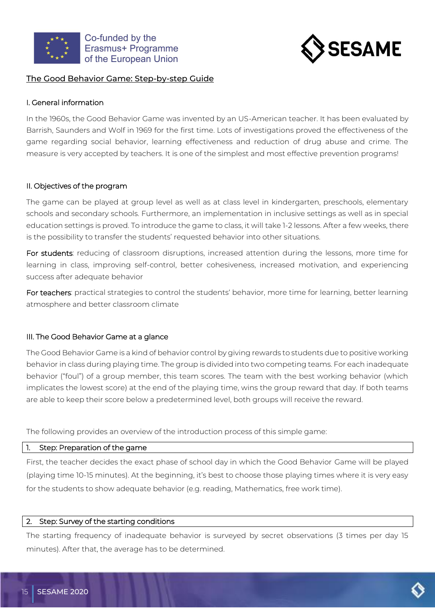



## <span id="page-17-0"></span>The Good Behavior Game: Step-by-step Guide

### I. General information

In the 1960s, the Good Behavior Game was invented by an US-American teacher. It has been evaluated by Barrish, Saunders and Wolf in 1969 for the first time. Lots of investigations proved the effectiveness of the game regarding social behavior, learning effectiveness and reduction of drug abuse and crime. The measure is very accepted by teachers. It is one of the simplest and most effective prevention programs!

### II. Objectives of the program

The game can be played at group level as well as at class level in kindergarten, preschools, elementary schools and secondary schools. Furthermore, an implementation in inclusive settings as well as in special education settings is proved. To introduce the game to class, it will take 1-2 lessons. After a few weeks, there is the possibility to transfer the students' requested behavior into other situations.

For students: reducing of classroom disruptions, increased attention during the lessons, more time for learning in class, improving self-control, better cohesiveness, increased motivation, and experiencing success after adequate behavior

For teachers: practical strategies to control the students' behavior, more time for learning, better learning atmosphere and better classroom climate

## III. The Good Behavior Game at a glance

The Good Behavior Game is a kind of behavior control by giving rewards to students due to positive working behavior in class during playing time. The group is divided into two competing teams. For each inadequate behavior ("foul") of a group member, this team scores. The team with the best working behavior (which implicates the lowest score) at the end of the playing time, wins the group reward that day. If both teams are able to keep their score below a predetermined level, both groups will receive the reward.

The following provides an overview of the introduction process of this simple game:

#### 1. Step: Preparation of the game

First, the teacher decides the exact phase of school day in which the Good Behavior Game will be played (playing time 10-15 minutes). At the beginning, it's best to choose those playing times where it is very easy for the students to show adequate behavior (e.g. reading, Mathematics, free work time).

#### 2. Step: Survey of the starting conditions

The starting frequency of inadequate behavior is surveyed by secret observations (3 times per day 15 minutes). After that, the average has to be determined.

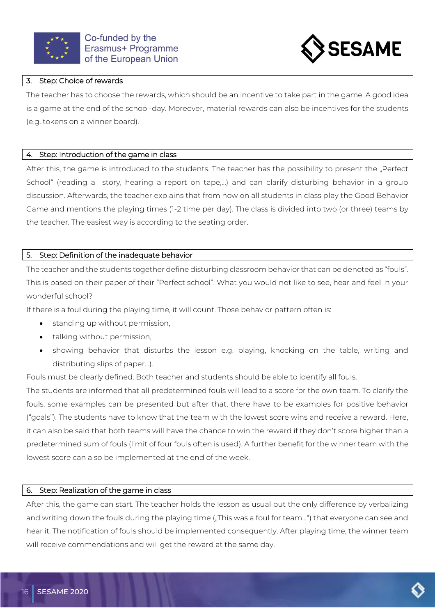



#### 3. Step: Choice of rewards

The teacher has to choose the rewards, which should be an incentive to take part in the game. A good idea is a game at the end of the school-day. Moreover, material rewards can also be incentives for the students (e.g. tokens on a winner board).

#### 4. Step: Introduction of the game in class

After this, the game is introduced to the students. The teacher has the possibility to present the "Perfect School" (reading a story, hearing a report on tape,…) and can clarify disturbing behavior in a group discussion. Afterwards, the teacher explains that from now on all students in class play the Good Behavior Game and mentions the playing times (1-2 time per day). The class is divided into two (or three) teams by the teacher. The easiest way is according to the seating order.

### 5. Step: Definition of the inadequate behavior

The teacher and the students together define disturbing classroom behavior that can be denoted as "fouls". This is based on their paper of their "Perfect school". What you would not like to see, hear and feel in your wonderful school?

If there is a foul during the playing time, it will count. Those behavior pattern often is:

- standing up without permission,
- talking without permission,
- showing behavior that disturbs the lesson e.g. playing, knocking on the table, writing and distributing slips of paper...).

Fouls must be clearly defined. Both teacher and students should be able to identify all fouls.

The students are informed that all predetermined fouls will lead to a score for the own team. To clarify the fouls, some examples can be presented but after that, there have to be examples for positive behavior ("goals"). The students have to know that the team with the lowest score wins and receive a reward. Here, it can also be said that both teams will have the chance to win the reward if they don't score higher than a predetermined sum of fouls (limit of four fouls often is used). A further benefit for the winner team with the lowest score can also be implemented at the end of the week.

#### 6. Step: Realization of the game in class

After this, the game can start. The teacher holds the lesson as usual but the only difference by verbalizing and writing down the fouls during the playing time ("This was a foul for team...") that everyone can see and hear it. The notification of fouls should be implemented consequently. After playing time, the winner team will receive commendations and will get the reward at the same day.

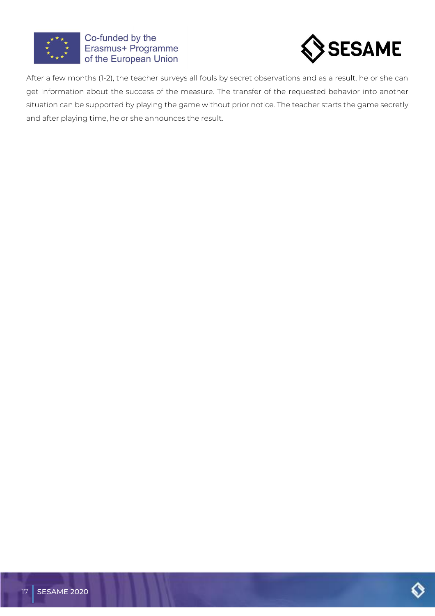



After a few months (1-2), the teacher surveys all fouls by secret observations and as a result, he or she can get information about the success of the measure. The transfer of the requested behavior into another situation can be supported by playing the game without prior notice. The teacher starts the game secretly and after playing time, he or she announces the result.

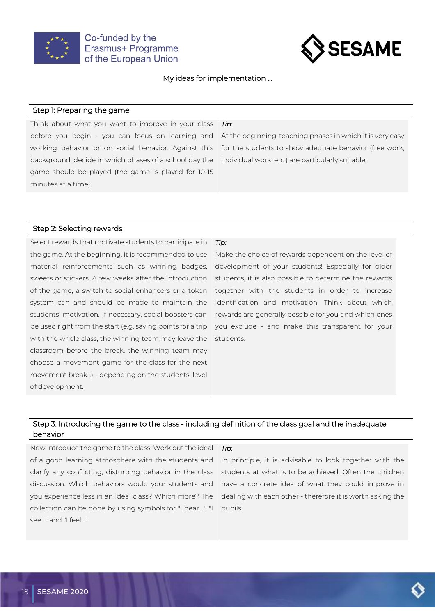



#### My ideas for implementation ...

#### Step 1: Preparing the game

Think about what you want to improve in your class before you begin - you can focus on learning and working behavior or on social behavior. Against this background, decide in which phases of a school day the game should be played (the game is played for 10-15 minutes at a time).

*Tip:*

At the beginning, teaching phases in which it is very easy for the students to show adequate behavior (free work, individual work, etc.) are particularly suitable.

#### Step 2: Selecting rewards

Select rewards that motivate students to participate in the game. At the beginning, it is recommended to use material reinforcements such as winning badges, sweets or stickers. A few weeks after the introduction of the game, a switch to social enhancers or a token system can and should be made to maintain the students' motivation. If necessary, social boosters can be used right from the start (e.g. saving points for a trip with the whole class, the winning team may leave the classroom before the break, the winning team may choose a movement game for the class for the next movement break...) - depending on the students' level of development.

#### *Tip:*

Make the choice of rewards dependent on the level of development of your students! Especially for older students, it is also possible to determine the rewards together with the students in order to increase identification and motivation. Think about which rewards are generally possible for you and which ones you exclude - and make this transparent for your students.

### Step 3: Introducing the game to the class - including definition of the class goal and the inadequate behavior

Now introduce the game to the class. Work out the ideal of a good learning atmosphere with the students and clarify any conflicting, disturbing behavior in the class discussion. Which behaviors would your students and you experience less in an ideal class? Which more? The collection can be done by using symbols for "I hear...", "I see..." and "I feel...". *Tip:* In principle, it is advisable to look together with the students at what is to be achieved. Often the children have a concrete idea of what they could improve in dealing with each other - therefore it is worth asking the pupils!

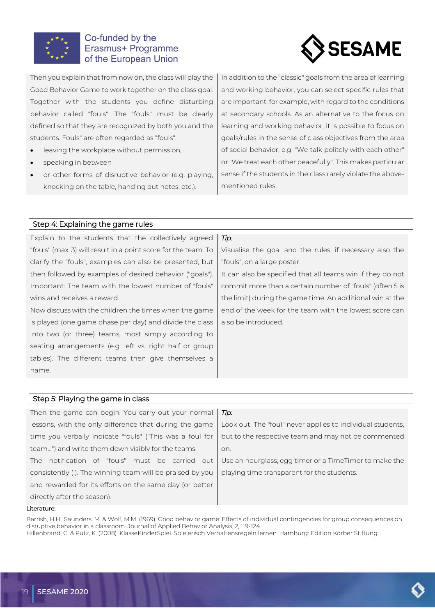



Then you explain that from now on, the class will play the Good Behavior Game to work together on the class goal. Together with the students you define disturbing behavior called "fouls". The "fouls" must be clearly defined so that they are recognized by both you and the students. Fouls" are often regarded as "fouls":

- leaving the workplace without permission,
- speaking in between
- or other forms of disruptive behavior (e.g. playing, knocking on the table, handing out notes, etc.).

In addition to the "classic" goals from the area of learning and working behavior, you can select specific rules that are important, for example, with regard to the conditions at secondary schools. As an alternative to the focus on learning and working behavior, it is possible to focus on goals/rules in the sense of class objectives from the area of social behavior, e.g. "We talk politely with each other" or "We treat each other peacefully". This makes particular sense if the students in the class rarely violate the abovementioned rules.

#### Step 4: Explaining the game rules

Explain to the students that the collectively agreed "fouls" (max. 3) will result in a point score for the team. To clarify the "fouls", examples can also be presented, but then followed by examples of desired behavior ("goals"). Important: The team with the lowest number of "fouls" wins and receives a reward.

Now discuss with the children the times when the game is played (one game phase per day) and divide the class into two (or three) teams, most simply according to seating arrangements (e.g. left vs. right half or group tables). The different teams then give themselves a name.

#### *Tip:*

Visualise the goal and the rules, if necessary also the "fouls", on a large poster.

It can also be specified that all teams win if they do not commit more than a certain number of "fouls" (often 5 is the limit) during the game time. An additional win at the end of the week for the team with the lowest score can also be introduced.

## Step 5: Playing the game in class

| Then the game can begin. You carry out your normal        | Tip:                                                       |
|-----------------------------------------------------------|------------------------------------------------------------|
| lessons, with the only difference that during the game    | Look out! The "foul" never applies to individual students, |
| time you verbally indicate "fouls" ("This was a foul for  | but to the respective team and may not be commented        |
| team") and write them down visibly for the teams.         | on.                                                        |
| The notification of "fouls" must be carried out           | Use an hourglass, egg timer or a TimeTimer to make the     |
| consistently (!). The winning team will be praised by you | playing time transparent for the students.                 |
| and rewarded for its efforts on the same day (or better   |                                                            |
| directly after the season).                               |                                                            |

#### Literature:

Barrish, H.H., Saunders, M. & Wolf, M.M. (1969). Good behavior game: Effects of individual contingencies for group consequences on disruptive behavior in a classroom. Journal of Applied Behavior Analysis, 2, 119-124. Hillenbrand, C. & Pütz, K. (2008). KlasseKinderSpiel. Spielerisch Verhaltensregeln lernen. Hamburg: Edition Körber Stiftung.

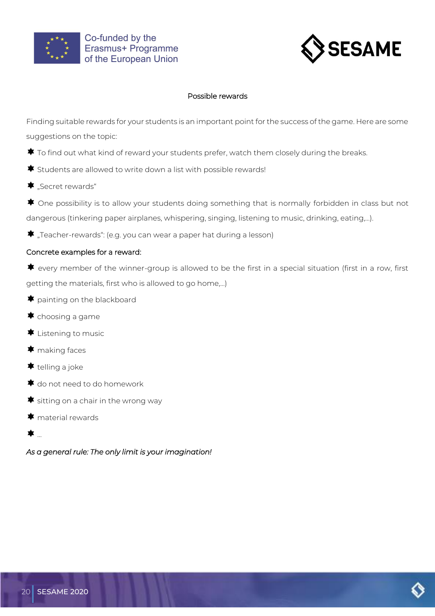



#### Possible rewards

Finding suitable rewards for your students is an important point for the success of the game. Here are some suggestions on the topic:

- $\blacklozenge$  To find out what kind of reward your students prefer, watch them closely during the breaks.
- $\blacktriangleright$  Students are allowed to write down a list with possible rewards!
- $\blacktriangleright$  "Secret rewards"
- $\clubsuit$  One possibility is to allow your students doing something that is normally forbidden in class but not dangerous (tinkering paper airplanes, whispering, singing, listening to music, drinking, eating,…).

 $\blacklozenge$  "Teacher-rewards": (e.g. you can wear a paper hat during a lesson)

## Concrete examples for a reward:

 $\blacklozenge$  every member of the winner-group is allowed to be the first in a special situation (first in a row, first getting the materials, first who is allowed to go home,…)

- $\blacklozenge$  painting on the blackboard
- $\bigstar$  choosing a game
- $\bigstar$  Listening to music
- $\blacktriangleright$  making faces
- $\bigstar$  telling a joke
- $\bigstar$  do not need to do homework
- $\blacktriangleright$  sitting on a chair in the wrong way
- $\bigstar$  material rewards
- …

*As a general rule: The only limit is your imagination!* 

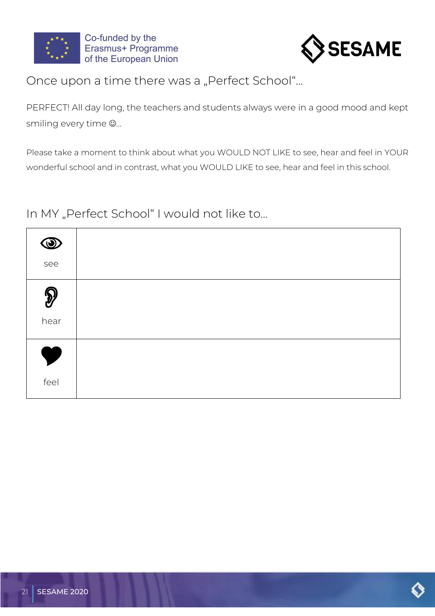



# Once upon a time there was a "Perfect School"...

PERFECT! All day long, the teachers and students always were in a good mood and kept smiling every time  $\mathfrak{S}_{\cdots}$ 

Please take a moment to think about what you WOULD NOT LIKE to see, hear and feel in YOUR wonderful school and in contrast, what you WOULD LIKE to see, hear and feel in this school.

# In MY "Perfect School" I would not like to...

| See                  |  |
|----------------------|--|
|                      |  |
| $\bigotimes$<br>hear |  |
|                      |  |
| Y                    |  |
| feel                 |  |

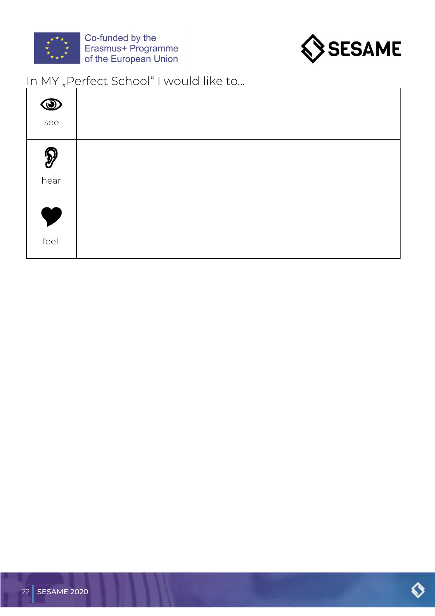



# In MY "Perfect School" I would like to...

| $\bigcirc$                   |  |
|------------------------------|--|
| $\bigotimes$<br>hear         |  |
| $\blacktriangledown$<br>feel |  |

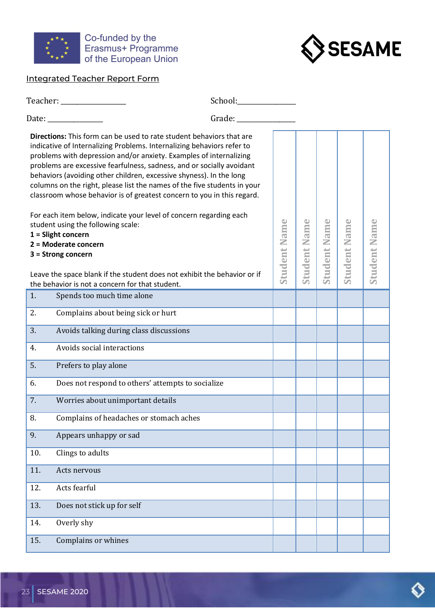



# <span id="page-25-0"></span>Integrated Teacher Report Form

|     | Teacher: ___________________                                                                                                                                                                                                                                                                                                                                                                                                                                                                                                                                                                     |                      |                     |                |        |                     |                     |
|-----|--------------------------------------------------------------------------------------------------------------------------------------------------------------------------------------------------------------------------------------------------------------------------------------------------------------------------------------------------------------------------------------------------------------------------------------------------------------------------------------------------------------------------------------------------------------------------------------------------|----------------------|---------------------|----------------|--------|---------------------|---------------------|
|     | Date: ______________                                                                                                                                                                                                                                                                                                                                                                                                                                                                                                                                                                             | Grade: _____________ |                     |                |        |                     |                     |
|     | Directions: This form can be used to rate student behaviors that are<br>indicative of Internalizing Problems. Internalizing behaviors refer to<br>problems with depression and/or anxiety. Examples of internalizing<br>problems are excessive fearfulness, sadness, and or socially avoidant<br>behaviors (avoiding other children, excessive shyness). In the long<br>columns on the right, please list the names of the five students in your<br>classroom whose behavior is of greatest concern to you in this regard.<br>For each item below, indicate your level of concern regarding each |                      |                     |                |        |                     |                     |
|     | student using the following scale:                                                                                                                                                                                                                                                                                                                                                                                                                                                                                                                                                               |                      |                     | Name           | Name   |                     |                     |
|     | $1 =$ Slight concern<br>2 = Moderate concern                                                                                                                                                                                                                                                                                                                                                                                                                                                                                                                                                     |                      |                     |                |        |                     |                     |
|     | $3 =$ Strong concern                                                                                                                                                                                                                                                                                                                                                                                                                                                                                                                                                                             |                      |                     |                |        |                     |                     |
|     | Leave the space blank if the student does not exhibit the behavior or if<br>the behavior is not a concern for that student.                                                                                                                                                                                                                                                                                                                                                                                                                                                                      |                      | <b>Student Name</b> | <b>Student</b> | tudent | <b>Student Name</b> | <b>Student Name</b> |
| 1.  | Spends too much time alone                                                                                                                                                                                                                                                                                                                                                                                                                                                                                                                                                                       |                      |                     |                |        |                     |                     |
| 2.  | Complains about being sick or hurt                                                                                                                                                                                                                                                                                                                                                                                                                                                                                                                                                               |                      |                     |                |        |                     |                     |
| 3.  | Avoids talking during class discussions                                                                                                                                                                                                                                                                                                                                                                                                                                                                                                                                                          |                      |                     |                |        |                     |                     |
| 4.  | Avoids social interactions                                                                                                                                                                                                                                                                                                                                                                                                                                                                                                                                                                       |                      |                     |                |        |                     |                     |
| 5.  | Prefers to play alone                                                                                                                                                                                                                                                                                                                                                                                                                                                                                                                                                                            |                      |                     |                |        |                     |                     |
| 6.  | Does not respond to others' attempts to socialize                                                                                                                                                                                                                                                                                                                                                                                                                                                                                                                                                |                      |                     |                |        |                     |                     |
| 7.  | Worries about unimportant details                                                                                                                                                                                                                                                                                                                                                                                                                                                                                                                                                                |                      |                     |                |        |                     |                     |
| 8.  | Complains of headaches or stomach aches                                                                                                                                                                                                                                                                                                                                                                                                                                                                                                                                                          |                      |                     |                |        |                     |                     |
| 9.  | Appears unhappy or sad                                                                                                                                                                                                                                                                                                                                                                                                                                                                                                                                                                           |                      |                     |                |        |                     |                     |
| 10. | Clings to adults                                                                                                                                                                                                                                                                                                                                                                                                                                                                                                                                                                                 |                      |                     |                |        |                     |                     |
| 11. | Acts nervous                                                                                                                                                                                                                                                                                                                                                                                                                                                                                                                                                                                     |                      |                     |                |        |                     |                     |
| 12. | Acts fearful                                                                                                                                                                                                                                                                                                                                                                                                                                                                                                                                                                                     |                      |                     |                |        |                     |                     |
| 13. | Does not stick up for self                                                                                                                                                                                                                                                                                                                                                                                                                                                                                                                                                                       |                      |                     |                |        |                     |                     |
| 14. | Overly shy                                                                                                                                                                                                                                                                                                                                                                                                                                                                                                                                                                                       |                      |                     |                |        |                     |                     |
| 15. | Complains or whines                                                                                                                                                                                                                                                                                                                                                                                                                                                                                                                                                                              |                      |                     |                |        |                     |                     |

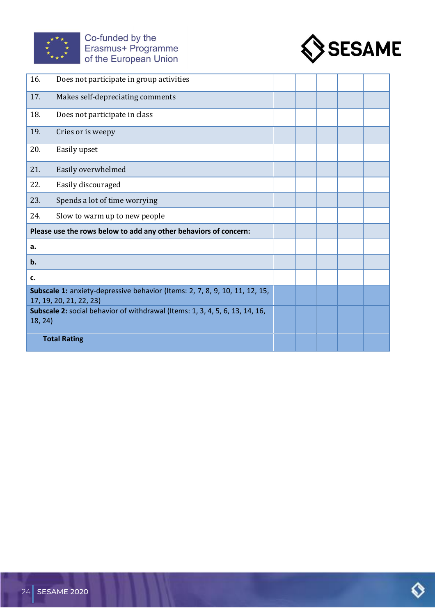



| 16.     | Does not participate in group activities                                                               |  |  |  |
|---------|--------------------------------------------------------------------------------------------------------|--|--|--|
| 17.     | Makes self-depreciating comments                                                                       |  |  |  |
| 18.     | Does not participate in class                                                                          |  |  |  |
| 19.     | Cries or is weepy                                                                                      |  |  |  |
| 20.     | Easily upset                                                                                           |  |  |  |
| 21.     | Easily overwhelmed                                                                                     |  |  |  |
| 22.     | Easily discouraged                                                                                     |  |  |  |
| 23.     | Spends a lot of time worrying                                                                          |  |  |  |
| 24.     | Slow to warm up to new people                                                                          |  |  |  |
|         | Please use the rows below to add any other behaviors of concern:                                       |  |  |  |
| a.      |                                                                                                        |  |  |  |
| b.      |                                                                                                        |  |  |  |
| c.      |                                                                                                        |  |  |  |
|         | Subscale 1: anxiety-depressive behavior (Items: 2, 7, 8, 9, 10, 11, 12, 15,<br>17, 19, 20, 21, 22, 23) |  |  |  |
| 18, 24) | Subscale 2: social behavior of withdrawal (Items: 1, 3, 4, 5, 6, 13, 14, 16,                           |  |  |  |
|         | <b>Total Rating</b>                                                                                    |  |  |  |

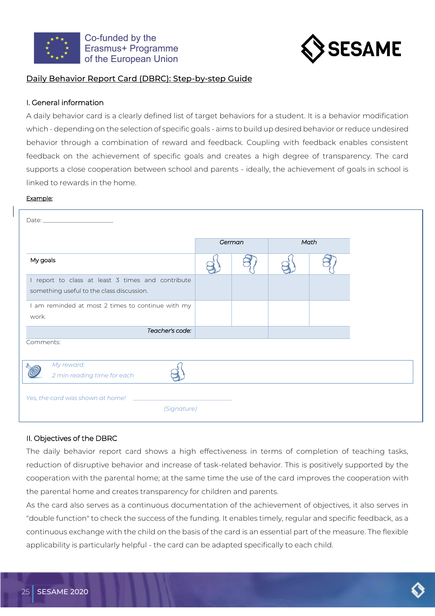



## <span id="page-27-0"></span>Daily Behavior Report Card (DBRC): Step-by-step Guide

### I. General information

A daily behavior card is a clearly defined list of target behaviors for a student. It is a behavior modification which - depending on the selection of specific goals - aims to build up desired behavior or reduce undesired behavior through a combination of reward and feedback. Coupling with feedback enables consistent feedback on the achievement of specific goals and creates a high degree of transparency. The card supports a close cooperation between school and parents - ideally, the achievement of goals in school is linked to rewards in the home.

#### Example:

|                                                                                                | German | Math |
|------------------------------------------------------------------------------------------------|--------|------|
| My goals                                                                                       |        |      |
| I report to class at least 3 times and contribute<br>something useful to the class discussion. |        |      |
| I am reminded at most 2 times to continue with my<br>work.                                     |        |      |
| Teacher's code:                                                                                |        |      |
| Comments:                                                                                      |        |      |
| My reward:<br>2 min reading time for each                                                      |        |      |
| Yes, the card was shown at home!<br>(Signature)                                                |        |      |

#### II. Objectives of the DBRC

The daily behavior report card shows a high effectiveness in terms of completion of teaching tasks, reduction of disruptive behavior and increase of task-related behavior. This is positively supported by the cooperation with the parental home; at the same time the use of the card improves the cooperation with the parental home and creates transparency for children and parents.

As the card also serves as a continuous documentation of the achievement of objectives, it also serves in "double function" to check the success of the funding. It enables timely, regular and specific feedback, as a continuous exchange with the child on the basis of the card is an essential part of the measure. The flexible applicability is particularly helpful - the card can be adapted specifically to each child.

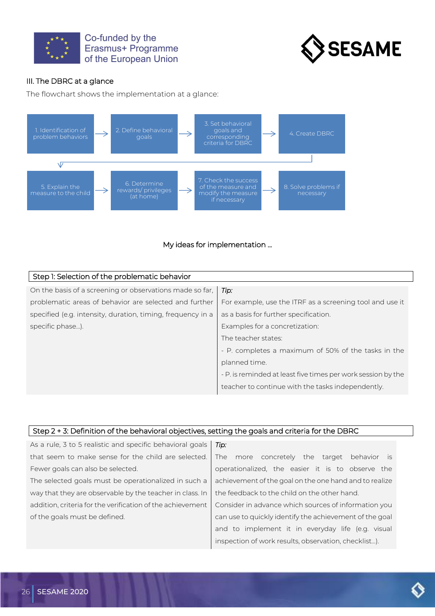



## III. The DBRC at a glance

The flowchart shows the implementation at a glance:





| Step 1: Selection of the problematic behavior               |                                                              |
|-------------------------------------------------------------|--------------------------------------------------------------|
| On the basis of a screening or observations made so far,    | Tip:                                                         |
| problematic areas of behavior are selected and further      | For example, use the ITRF as a screening tool and use it     |
| specified (e.g. intensity, duration, timing, frequency in a | as a basis for further specification.                        |
| specific phase).                                            | Examples for a concretization:                               |
|                                                             | The teacher states:                                          |
|                                                             | - P. completes a maximum of 50% of the tasks in the          |
|                                                             | planned time.                                                |
|                                                             | - P. is reminded at least five times per work session by the |
|                                                             | teacher to continue with the tasks independently.            |

#### Step 2 + 3: Definition of the behavioral objectives, setting the goals and criteria for the DBRC

As a rule, 3 to 5 realistic and specific behavioral goals that seem to make sense for the child are selected. Fewer goals can also be selected. The selected goals must be operationalized in such a way that they are observable by the teacher in class. In addition, criteria for the verification of the achievement of the goals must be defined. *Tip:* The more concretely the target behavior is operationalized, the easier it is to observe the achievement of the goal on the one hand and to realize the feedback to the child on the other hand. Consider in advance which sources of information you can use to quickly identify the achievement of the goal and to implement it in everyday life (e.g. visual

inspection of work results, observation, checklist…).

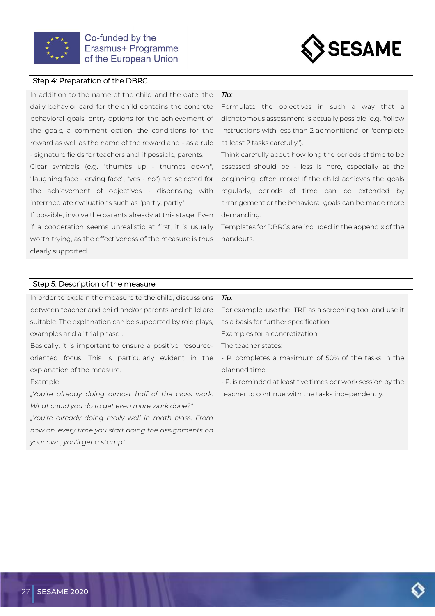



#### Step 4: Preparation of the DBRC

In addition to the name of the child and the date, the daily behavior card for the child contains the concrete behavioral goals, entry options for the achievement of the goals, a comment option, the conditions for the reward as well as the name of the reward and - as a rule - signature fields for teachers and, if possible, parents.

Clear symbols (e.g. "thumbs up - thumbs down", "laughing face - crying face", "yes - no") are selected for the achievement of objectives - dispensing with intermediate evaluations such as "partly, partly".

If possible, involve the parents already at this stage. Even if a cooperation seems unrealistic at first, it is usually worth trying, as the effectiveness of the measure is thus clearly supported.

#### *Tip:*

Formulate the objectives in such a way that a dichotomous assessment is actually possible (e.g. "follow instructions with less than 2 admonitions" or "complete at least 2 tasks carefully").

Think carefully about how long the periods of time to be assessed should be - less is here, especially at the beginning, often more! If the child achieves the goals regularly, periods of time can be extended by arrangement or the behavioral goals can be made more demanding.

Templates for DBRCs are included in the appendix of the handouts.

#### Step 5: Description of the measure

| In order to explain the measure to the child, discussions  | Tip:                                                         |
|------------------------------------------------------------|--------------------------------------------------------------|
| between teacher and child and/or parents and child are     | For example, use the ITRF as a screening tool and use it     |
| suitable. The explanation can be supported by role plays,  | as a basis for further specification.                        |
| examples and a "trial phase".                              | Examples for a concretization:                               |
| Basically, it is important to ensure a positive, resource- | The teacher states:                                          |
| oriented focus. This is particularly evident in the        | - P. completes a maximum of 50% of the tasks in the          |
| explanation of the measure.                                | planned time.                                                |
| Example:                                                   | - P. is reminded at least five times per work session by the |
| "You're already doing almost half of the class work.       | teacher to continue with the tasks independently.            |
| What could you do to get even more work done?"             |                                                              |
| "You're already doing really well in math class. From      |                                                              |
| now on, every time you start doing the assignments on      |                                                              |
| your own, you'll get a stamp."                             |                                                              |

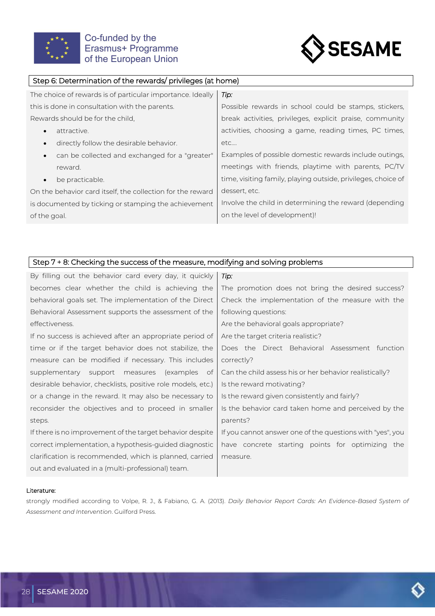



### Step 6: Determination of the rewards/ privileges (at home)

| The choice of rewards is of particular importance. Ideally | Tip:                                                          |
|------------------------------------------------------------|---------------------------------------------------------------|
| this is done in consultation with the parents.             | Possible rewards in school could be stamps, stickers,         |
| Rewards should be for the child.                           | break activities, privileges, explicit praise, community      |
| attractive.<br>$\bullet$                                   | activities, choosing a game, reading times, PC times,         |
| directly follow the desirable behavior.                    | etc                                                           |
| can be collected and exchanged for a "greater"             | Examples of possible domestic rewards include outings,        |
| reward.                                                    | meetings with friends, playtime with parents, PC/TV           |
| be practicable.<br>$\bullet$                               | time, visiting family, playing outside, privileges, choice of |
| On the behavior card itself, the collection for the reward | dessert, etc.                                                 |
| is documented by ticking or stamping the achievement       | Involve the child in determining the reward (depending        |
| of the goal.                                               | on the level of development)!                                 |

### Step 7 + 8: Checking the success of the measure, modifying and solving problems

| By filling out the behavior card every day, it quickly      | Tip:                                                      |
|-------------------------------------------------------------|-----------------------------------------------------------|
| becomes clear whether the child is achieving the            | The promotion does not bring the desired success?         |
| behavioral goals set. The implementation of the Direct      | Check the implementation of the measure with the          |
| Behavioral Assessment supports the assessment of the        | following questions:                                      |
| effectiveness.                                              | Are the behavioral goals appropriate?                     |
| If no success is achieved after an appropriate period of    | Are the target criteria realistic?                        |
| time or if the target behavior does not stabilize, the      | Does the Direct Behavioral Assessment function            |
| measure can be modified if necessary. This includes         | correctly?                                                |
| supplementary support measures (examples of                 | Can the child assess his or her behavior realistically?   |
| desirable behavior, checklists, positive role models, etc.) | Is the reward motivating?                                 |
| or a change in the reward. It may also be necessary to      | Is the reward given consistently and fairly?              |
| reconsider the objectives and to proceed in smaller         | Is the behavior card taken home and perceived by the      |
| steps.                                                      | parents?                                                  |
| If there is no improvement of the target behavior despite   | If you cannot answer one of the questions with "yes", you |
| correct implementation, a hypothesis-guided diagnostic      | have concrete starting points for optimizing the          |
| clarification is recommended, which is planned, carried     | measure.                                                  |
| out and evaluated in a (multi-professional) team.           |                                                           |

#### Literature:

strongly modified according to Volpe, R. J., & Fabiano, G. A. (2013). *Daily Behavior Report Cards: An Evidence-Based System of Assessment and Intervention*. Guilford Press.

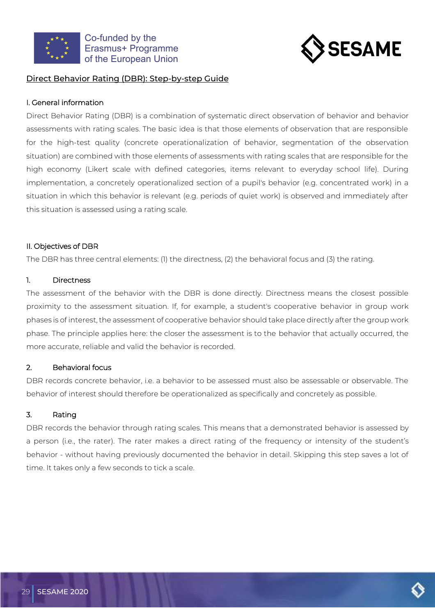



## <span id="page-31-0"></span>Direct Behavior Rating (DBR): Step-by-step Guide

### I. General information

Direct Behavior Rating (DBR) is a combination of systematic direct observation of behavior and behavior assessments with rating scales. The basic idea is that those elements of observation that are responsible for the high-test quality (concrete operationalization of behavior, segmentation of the observation situation) are combined with those elements of assessments with rating scales that are responsible for the high economy (Likert scale with defined categories, items relevant to everyday school life). During implementation, a concretely operationalized section of a pupil's behavior (e.g. concentrated work) in a situation in which this behavior is relevant (e.g. periods of quiet work) is observed and immediately after this situation is assessed using a rating scale.

## II. Objectives of DBR

The DBR has three central elements: (1) the directness, (2) the behavioral focus and (3) the rating.

### 1. Directness

The assessment of the behavior with the DBR is done directly. Directness means the closest possible proximity to the assessment situation. If, for example, a student's cooperative behavior in group work phases is of interest, the assessment of cooperative behavior should take place directly after the group work phase. The principle applies here: the closer the assessment is to the behavior that actually occurred, the more accurate, reliable and valid the behavior is recorded.

## 2. Behavioral focus

DBR records concrete behavior, i.e. a behavior to be assessed must also be assessable or observable. The behavior of interest should therefore be operationalized as specifically and concretely as possible.

## 3. Rating

DBR records the behavior through rating scales. This means that a demonstrated behavior is assessed by a person (i.e., the rater). The rater makes a direct rating of the frequency or intensity of the student's behavior - without having previously documented the behavior in detail. Skipping this step saves a lot of time. It takes only a few seconds to tick a scale.

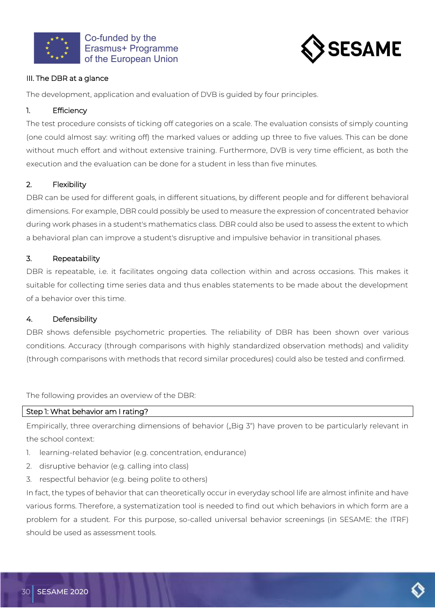



## III. The DBR at a glance

The development, application and evaluation of DVB is guided by four principles.

### 1. Efficiency

The test procedure consists of ticking off categories on a scale. The evaluation consists of simply counting (one could almost say: writing off) the marked values or adding up three to five values. This can be done without much effort and without extensive training. Furthermore, DVB is very time efficient, as both the execution and the evaluation can be done for a student in less than five minutes.

## 2. Flexibility

DBR can be used for different goals, in different situations, by different people and for different behavioral dimensions. For example, DBR could possibly be used to measure the expression of concentrated behavior during work phases in a student's mathematics class. DBR could also be used to assess the extent to which a behavioral plan can improve a student's disruptive and impulsive behavior in transitional phases.

### 3. Repeatability

DBR is repeatable, i.e. it facilitates ongoing data collection within and across occasions. This makes it suitable for collecting time series data and thus enables statements to be made about the development of a behavior over this time.

## 4. Defensibility

DBR shows defensible psychometric properties. The reliability of DBR has been shown over various conditions. Accuracy (through comparisons with highly standardized observation methods) and validity (through comparisons with methods that record similar procedures) could also be tested and confirmed.

The following provides an overview of the DBR:

### Step 1: What behavior am I rating?

Empirically, three overarching dimensions of behavior ("Big 3") have proven to be particularly relevant in the school context:

- 1. learning-related behavior (e.g. concentration, endurance)
- 2. disruptive behavior (e.g. calling into class)
- 3. respectful behavior (e.g. being polite to others)

In fact, the types of behavior that can theoretically occur in everyday school life are almost infinite and have various forms. Therefore, a systematization tool is needed to find out which behaviors in which form are a problem for a student. For this purpose, so-called universal behavior screenings (in SESAME: the ITRF) should be used as assessment tools.

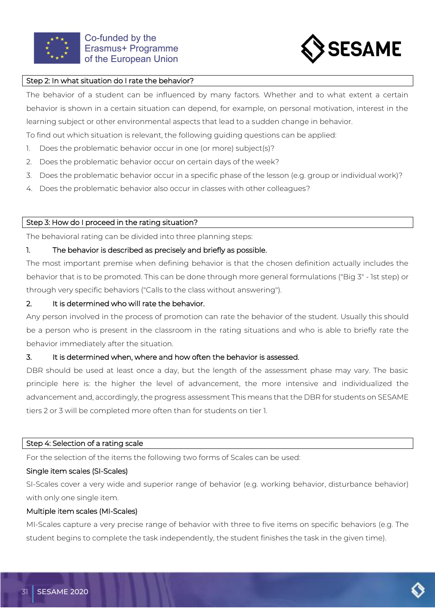



#### Step 2: In what situation do I rate the behavior?

The behavior of a student can be influenced by many factors. Whether and to what extent a certain behavior is shown in a certain situation can depend, for example, on personal motivation, interest in the learning subject or other environmental aspects that lead to a sudden change in behavior.

To find out which situation is relevant, the following guiding questions can be applied:

- 1. Does the problematic behavior occur in one (or more) subject(s)?
- 2. Does the problematic behavior occur on certain days of the week?
- 3. Does the problematic behavior occur in a specific phase of the lesson (e.g. group or individual work)?
- 4. Does the problematic behavior also occur in classes with other colleagues?

### Step 3: How do I proceed in the rating situation?

The behavioral rating can be divided into three planning steps:

### 1. The behavior is described as precisely and briefly as possible.

The most important premise when defining behavior is that the chosen definition actually includes the behavior that is to be promoted. This can be done through more general formulations ("Big 3" - 1st step) or through very specific behaviors ("Calls to the class without answering").

### 2. It is determined who will rate the behavior.

Any person involved in the process of promotion can rate the behavior of the student. Usually this should be a person who is present in the classroom in the rating situations and who is able to briefly rate the behavior immediately after the situation.

#### 3. It is determined when, where and how often the behavior is assessed.

DBR should be used at least once a day, but the length of the assessment phase may vary. The basic principle here is: the higher the level of advancement, the more intensive and individualized the advancement and, accordingly, the progress assessment This means that the DBR for students on SESAME tiers 2 or 3 will be completed more often than for students on tier 1.

#### Step 4: Selection of a rating scale

For the selection of the items the following two forms of Scales can be used:

#### Single item scales (SI-Scales)

SI-Scales cover a very wide and superior range of behavior (e.g. working behavior, disturbance behavior) with only one single item.

#### Multiple item scales (MI-Scales)

MI-Scales capture a very precise range of behavior with three to five items on specific behaviors (e.g. The student begins to complete the task independently, the student finishes the task in the given time).

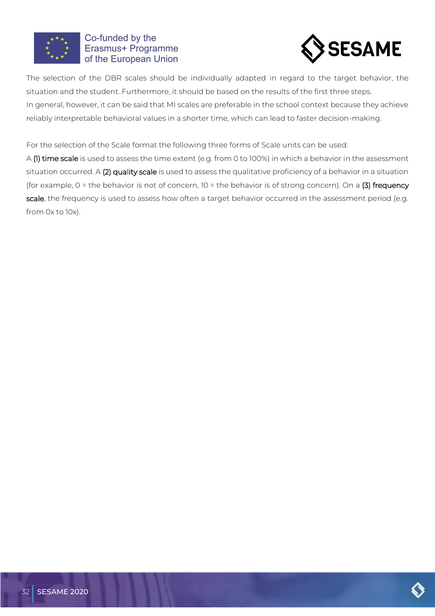



The selection of the DBR scales should be individually adapted in regard to the target behavior, the situation and the student. Furthermore, it should be based on the results of the first three steps. In general, however, it can be said that MI scales are preferable in the school context because they achieve reliably interpretable behavioral values in a shorter time, which can lead to faster decision-making.

For the selection of the Scale format the following three forms of Scale units can be used:

A (1) time scale is used to assess the time extent (e.g. from 0 to 100%) in which a behavior in the assessment situation occurred. A (2) quality scale is used to assess the qualitative proficiency of a behavior in a situation (for example,  $0$  = the behavior is not of concern,  $10$  = the behavior is of strong concern). On a (3) frequency scale, the frequency is used to assess how often a target behavior occurred in the assessment period (e.g. from 0x to 10x).

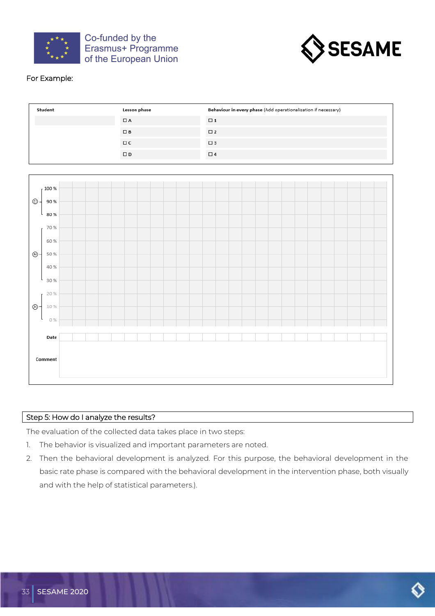



## For Example:

| Student | Lesson phase | Behaviour in every phase (Add operationalisation if necessary) |
|---------|--------------|----------------------------------------------------------------|
|         | $\Box$ A     | $\Box$ 1                                                       |
|         | $\square$ B  | $\square$ 2                                                    |
|         | $\Box$ C     | $\square$ 3                                                    |
|         | $\square$    | $\Box$ 4                                                       |



#### Step 5: How do I analyze the results?

The evaluation of the collected data takes place in two steps:

- 1. The behavior is visualized and important parameters are noted.
- 2. Then the behavioral development is analyzed. For this purpose, the behavioral development in the basic rate phase is compared with the behavioral development in the intervention phase, both visually and with the help of statistical parameters.).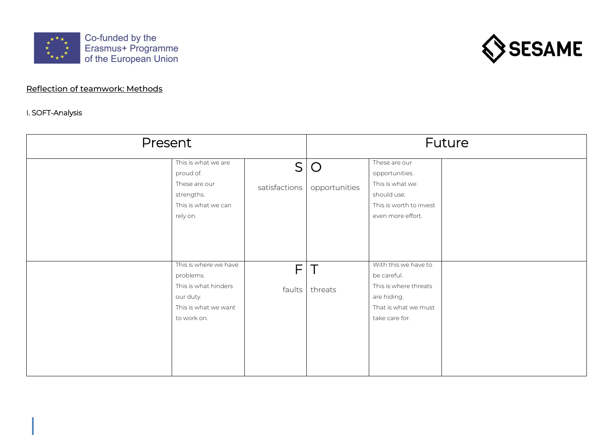



# Reflection of teamwork: Methods

## I. SOFT-Analysis

34 SESAME 2020

<span id="page-36-0"></span>

| Present |                                                                                                                | Future             |                             |                                                                                                                       |  |
|---------|----------------------------------------------------------------------------------------------------------------|--------------------|-----------------------------|-----------------------------------------------------------------------------------------------------------------------|--|
|         | This is what we are<br>proud of.<br>These are our<br>strengths.<br>This is what we can<br>rely on.             | S<br>satisfactions | $\bigcirc$<br>opportunities | These are our<br>opportunities.<br>This is what we<br>should use.<br>This is worth to invest<br>even more effort.     |  |
|         | This is where we have<br>problems.<br>This is what hinders<br>our duty.<br>This is what we want<br>to work on. | F.<br>faults       | $\top$<br>threats           | With this we have to<br>be careful.<br>This is where threats<br>are hiding.<br>That is what we must<br>take care for. |  |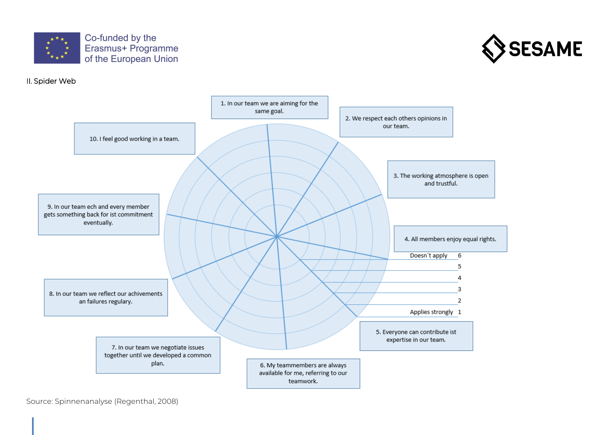



#### II. Spider Web



Source: Spinnenanalyse (Regenthal, 2008)

35 SESAME 2020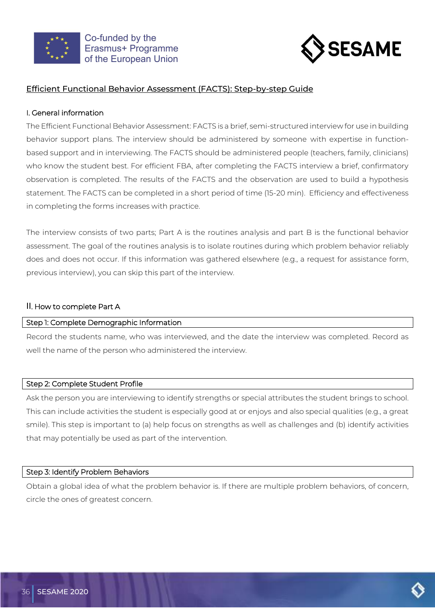



## <span id="page-38-0"></span>Efficient Functional Behavior Assessment (FACTS): Step-by-step Guide

#### I. General information

The Efficient Functional Behavior Assessment: FACTS is a brief, semi-structured interview for use in building behavior support plans. The interview should be administered by someone with expertise in functionbased support and in interviewing. The FACTS should be administered people (teachers, family, clinicians) who know the student best. For efficient FBA, after completing the FACTS interview a brief, confirmatory observation is completed. The results of the FACTS and the observation are used to build a hypothesis statement. The FACTS can be completed in a short period of time (15-20 min). Efficiency and effectiveness in completing the forms increases with practice.

The interview consists of two parts; Part A is the routines analysis and part B is the functional behavior assessment. The goal of the routines analysis is to isolate routines during which problem behavior reliably does and does not occur. If this information was gathered elsewhere (e.g., a request for assistance form, previous interview), you can skip this part of the interview.

#### II. How to complete Part A

#### Step 1: Complete Demographic Information

Record the students name, who was interviewed, and the date the interview was completed. Record as well the name of the person who administered the interview.

#### Step 2: Complete Student Profile

Ask the person you are interviewing to identify strengths or special attributes the student brings to school. This can include activities the student is especially good at or enjoys and also special qualities (e.g., a great smile). This step is important to (a) help focus on strengths as well as challenges and (b) identify activities that may potentially be used as part of the intervention.

#### Step 3: Identify Problem Behaviors

Obtain a global idea of what the problem behavior is. If there are multiple problem behaviors, of concern, circle the ones of greatest concern.

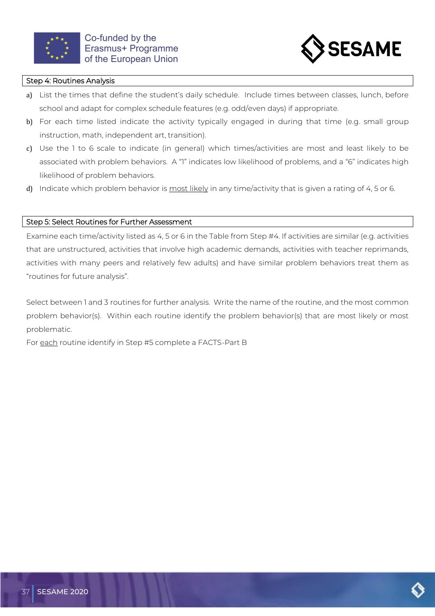



#### Step 4: Routines Analysis

- a) List the times that define the student's daily schedule. Include times between classes, lunch, before school and adapt for complex schedule features (e.g. odd/even days) if appropriate.
- b) For each time listed indicate the activity typically engaged in during that time (e.g. small group instruction, math, independent art, transition).
- c) Use the 1 to 6 scale to indicate (in general) which times/activities are most and least likely to be associated with problem behaviors. A "1" indicates low likelihood of problems, and a "6" indicates high likelihood of problem behaviors.
- d) Indicate which problem behavior is most likely in any time/activity that is given a rating of 4, 5 or 6.

#### Step 5: Select Routines for Further Assessment

Examine each time/activity listed as 4, 5 or 6 in the Table from Step #4. If activities are similar (e.g. activities that are unstructured, activities that involve high academic demands, activities with teacher reprimands, activities with many peers and relatively few adults) and have similar problem behaviors treat them as "routines for future analysis".

Select between 1 and 3 routines for further analysis. Write the name of the routine, and the most common problem behavior(s). Within each routine identify the problem behavior(s) that are most likely or most problematic.

For each routine identify in Step #5 complete a FACTS-Part B

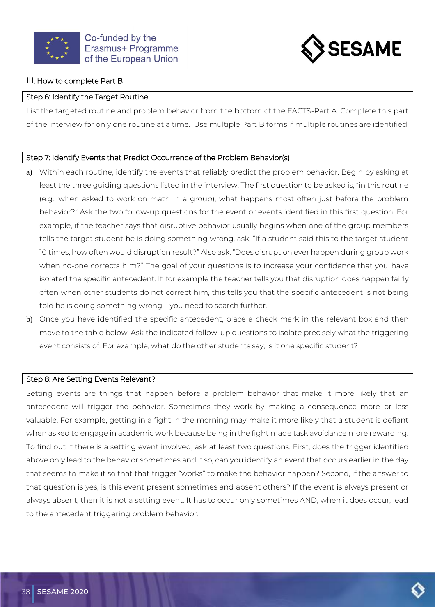



#### III. How to complete Part B

#### Step 6: Identify the Target Routine

List the targeted routine and problem behavior from the bottom of the FACTS-Part A. Complete this part of the interview for only one routine at a time. Use multiple Part B forms if multiple routines are identified.

#### Step 7: Identify Events that Predict Occurrence of the Problem Behavior(s)

- a) Within each routine, identify the events that reliably predict the problem behavior. Begin by asking at least the three guiding questions listed in the interview. The first question to be asked is, "in this routine (e.g., when asked to work on math in a group), what happens most often just before the problem behavior?" Ask the two follow-up questions for the event or events identified in this first question. For example, if the teacher says that disruptive behavior usually begins when one of the group members tells the target student he is doing something wrong, ask, "If a student said this to the target student 10 times, how often would disruption result?" Also ask, "Does disruption ever happen during group work when no-one corrects him?" The goal of your questions is to increase your confidence that you have isolated the specific antecedent. If, for example the teacher tells you that disruption does happen fairly often when other students do not correct him, this tells you that the specific antecedent is not being told he is doing something wrong—you need to search further.
- b) Once you have identified the specific antecedent, place a check mark in the relevant box and then move to the table below. Ask the indicated follow-up questions to isolate precisely what the triggering event consists of. For example, what do the other students say, is it one specific student?

#### Step 8: Are Setting Events Relevant?

Setting events are things that happen before a problem behavior that make it more likely that an antecedent will trigger the behavior. Sometimes they work by making a consequence more or less valuable. For example, getting in a fight in the morning may make it more likely that a student is defiant when asked to engage in academic work because being in the fight made task avoidance more rewarding. To find out if there is a setting event involved, ask at least two questions. First, does the trigger identified above only lead to the behavior sometimes and if so, can you identify an event that occurs earlier in the day that seems to make it so that that trigger "works" to make the behavior happen? Second, if the answer to that question is yes, is this event present sometimes and absent others? If the event is always present or always absent, then it is not a setting event. It has to occur only sometimes AND, when it does occur, lead to the antecedent triggering problem behavior.

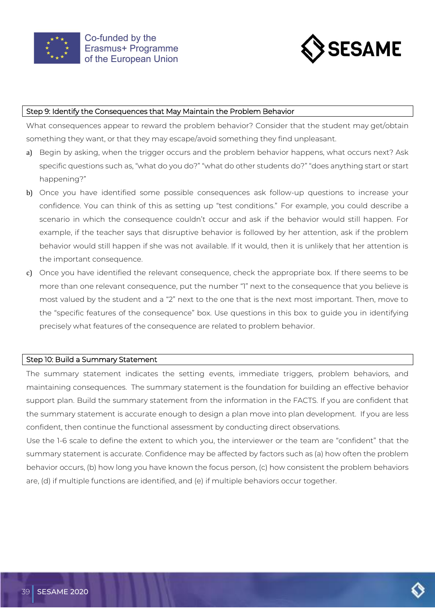



#### Step 9: Identify the Consequences that May Maintain the Problem Behavior

What consequences appear to reward the problem behavior? Consider that the student may get/obtain something they want, or that they may escape/avoid something they find unpleasant.

- a) Begin by asking, when the trigger occurs and the problem behavior happens, what occurs next? Ask specific questions such as, "what do you do?" "what do other students do?" "does anything start or start happening?"
- b) Once you have identified some possible consequences ask follow-up questions to increase your confidence. You can think of this as setting up "test conditions." For example, you could describe a scenario in which the consequence couldn't occur and ask if the behavior would still happen. For example, if the teacher says that disruptive behavior is followed by her attention, ask if the problem behavior would still happen if she was not available. If it would, then it is unlikely that her attention is the important consequence.
- c) Once you have identified the relevant consequence, check the appropriate box. If there seems to be more than one relevant consequence, put the number "1" next to the consequence that you believe is most valued by the student and a "2" next to the one that is the next most important. Then, move to the "specific features of the consequence" box. Use questions in this box to guide you in identifying precisely what features of the consequence are related to problem behavior.

#### Step 10: Build a Summary Statement

The summary statement indicates the setting events, immediate triggers, problem behaviors, and maintaining consequences. The summary statement is the foundation for building an effective behavior support plan. Build the summary statement from the information in the FACTS. If you are confident that the summary statement is accurate enough to design a plan move into plan development. If you are less confident, then continue the functional assessment by conducting direct observations.

Use the 1-6 scale to define the extent to which you, the interviewer or the team are "confident" that the summary statement is accurate. Confidence may be affected by factors such as (a) how often the problem behavior occurs, (b) how long you have known the focus person, (c) how consistent the problem behaviors are, (d) if multiple functions are identified, and (e) if multiple behaviors occur together.

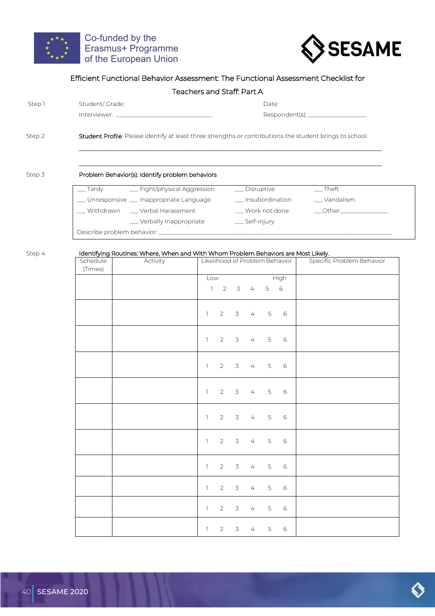



|          |                                                                                    | Teachers and Staff: Part A |                         |                                |                                                                                                          |
|----------|------------------------------------------------------------------------------------|----------------------------|-------------------------|--------------------------------|----------------------------------------------------------------------------------------------------------|
|          |                                                                                    |                            |                         |                                |                                                                                                          |
|          | Student/Grade:                                                                     |                            |                         | Date:                          |                                                                                                          |
|          |                                                                                    |                            |                         |                                | Respondent(s): ____________________                                                                      |
|          |                                                                                    |                            |                         |                                | Student Profile: Please identify at least three strengths or contributions the student brings to school. |
|          | Problem Behavior(s): Identify problem behaviors                                    |                            |                         |                                |                                                                                                          |
|          | __ Tardy _______ Fight/physical Aggression                                         |                            | _ Disruptive            |                                | $\overline{\phantom{a}}$ Theft                                                                           |
|          | __ Unresponsive __ Inappropriate Language __ _ _ _ Insubordination                 |                            |                         |                                | ___ Vandalism                                                                                            |
|          |                                                                                    |                            |                         |                                | ___ Withdrawn  ____ Verbal Harassment        ___ Work not done     ___Other ________________             |
|          | __ Verbally Inappropriate                                                          |                            | ___ Self-injury         |                                |                                                                                                          |
|          |                                                                                    |                            |                         |                                |                                                                                                          |
|          | Identifying Routines: Where, When and With Whom Problem Behaviors are Most Likely. |                            |                         |                                |                                                                                                          |
| Schedule | Activity                                                                           |                            |                         | Likelihood of Problem Behavior | Specific Problem Behavior                                                                                |
| (Times)  |                                                                                    |                            |                         |                                |                                                                                                          |
|          |                                                                                    | Low                        |                         | High                           |                                                                                                          |
|          |                                                                                    |                            | $1 \t2 \t3 \t4 \t5 \t6$ |                                |                                                                                                          |

|  |  |  | 1 2 3 4 5 6             |  |
|--|--|--|-------------------------|--|
|  |  |  | 1 2 3 4 5 6             |  |
|  |  |  | 1 2 3 4 5 6             |  |
|  |  |  | 1 2 3 4 5 6             |  |
|  |  |  | 1 2 3 4 5 6             |  |
|  |  |  | 1 2 3 4 5 6             |  |
|  |  |  | $1 \t2 \t3 \t4 \t5 \t6$ |  |
|  |  |  | 1 2 3 4 5 6             |  |
|  |  |  | 1 2 3 4 5 6             |  |
|  |  |  | 1 2 3 4 5 6             |  |

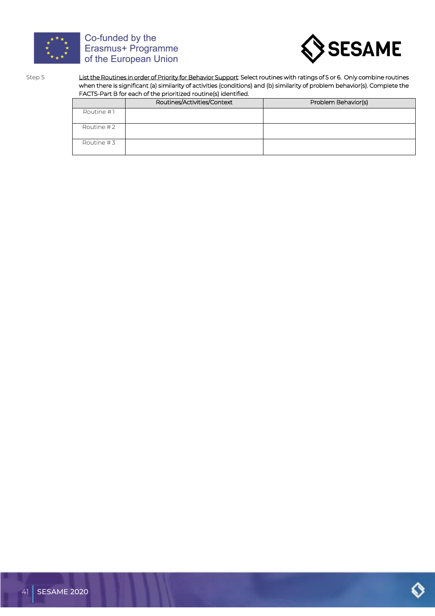



Step 5 List the Routines in order of Priority for Behavior Support: Select routines with ratings of 5 or 6. Only combine routines when there is significant (a) similarity of activities (conditions) and (b) similarity of problem behavior(s). Complete the FACTS-Part B for each of the prioritized routine(s) identified.

|              | Routines/Activities/Context | Problem Behavior(s) |
|--------------|-----------------------------|---------------------|
| Routine #1   |                             |                     |
| Routine #2   |                             |                     |
| Routine $#3$ |                             |                     |

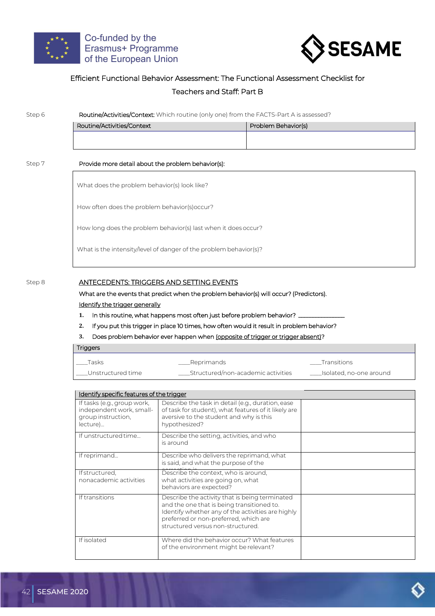



#### Efficient Functional Behavior Assessment: The Functional Assessment Checklist for

#### Teachers and Staff: Part B

| Step 6 | Routine/Activities/Context: Which routine (only one) from the FACTS-Part A is assessed? |                     |  |  |  |  |
|--------|-----------------------------------------------------------------------------------------|---------------------|--|--|--|--|
|        | Routine/Activities/Context                                                              | Problem Behavior(s) |  |  |  |  |
|        |                                                                                         |                     |  |  |  |  |
| Step 7 | Provide more detail about the problem behavior(s):                                      |                     |  |  |  |  |
|        | What does the problem behavior(s) look like?                                            |                     |  |  |  |  |
|        | How often does the problem behavior(s) occur?                                           |                     |  |  |  |  |
|        | How long does the problem behavior(s) last when it does occur?                          |                     |  |  |  |  |
|        | What is the intensity/level of danger of the problem behavior(s)?                       |                     |  |  |  |  |
|        |                                                                                         |                     |  |  |  |  |

#### Step 8 ANTECEDENTS: TRIGGERS AND SETTING EVENTS

What are the events that predict when the problem behavior(s) will occur? (Predictors).

#### Identify the trigger generally

- 1. In this routine, what happens most often just before problem behavior? <sub>-</sub>
- **2.** If you put this trigger in place 10 times, how often would it result in problem behavior?

#### **3.** Does problem behavior ever happen when (opposite of trigger or trigger absent)?

| <b>Triggers</b>     |                                           |                              |
|---------------------|-------------------------------------------|------------------------------|
| Tasks               | ____Reprimands                            | Transitions                  |
| __Unstructured time | _______Structured/non-academic activities | _____Isolated, no-one around |

| Identify specific features of the trigger                                                 |                                                                                                                                                                                                                                 |  |
|-------------------------------------------------------------------------------------------|---------------------------------------------------------------------------------------------------------------------------------------------------------------------------------------------------------------------------------|--|
| If tasks (e.g., group work,<br>independent work, small-<br>group instruction,<br>lecture) | Describe the task in detail (e.g., duration, ease<br>of task for student), what features of it likely are<br>aversive to the student and why is this<br>hypothesized?                                                           |  |
| If unstructured time                                                                      | Describe the setting, activities, and who<br>is around                                                                                                                                                                          |  |
| If reprimand                                                                              | Describe who delivers the reprimand, what<br>is said, and what the purpose of the                                                                                                                                               |  |
| Ifstructured,<br>nonacademic activities                                                   | Describe the context, who is around,<br>what activities are going on, what<br>behaviors are expected?                                                                                                                           |  |
| If transitions                                                                            | Describe the activity that is being terminated<br>and the one that is being transitioned to.<br>Identify whether any of the activities are highly<br>preferred or non-preferred, which are<br>structured versus non-structured. |  |
| If isolated                                                                               | Where did the behavior occur? What features<br>of the environment might be relevant?                                                                                                                                            |  |

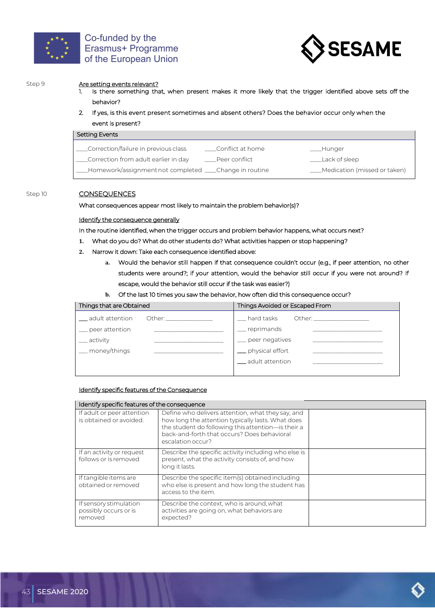



#### Step 9 **Are setting events relevant?**

- 1. Is there something that, when present makes it more likely that the trigger identified above sets off the behavior?
- 2. If yes, is this event present sometimes and absent others? Does the behavior occur only when the event is present?

| Setting Events                                            |                      |                                |
|-----------------------------------------------------------|----------------------|--------------------------------|
| _Correction/failure in previous class                     | ____Conflict at home | ___Hunger                      |
| _Correction from adult earlier in day                     | Peer conflict.       | Lack of sleep                  |
| _Homework/assignment not completed _____Change in routine |                      | __Medication (missed or taken) |

#### Step 10 CONSEQUENCES

#### What consequences appear most likely to maintain the problem behavior(s)?

#### Identify the consequence generally

In the routine identified, when the trigger occurs and problem behavior happens, what occurs next?

- **1.** What do you do? What do other students do? What activities happen or stop happening?
- **2.** Narrow it down: Take each consequence identified above:
	- **a.** Would the behavior still happen if that consequence couldn't occur (e.g., if peer attention, no other students were around?; if your attention, would the behavior still occur if you were not around? If escape, would the behavior still occur if the task was easier?)

#### **b.** Of the last 10 times you saw the behavior, how often did this consequence occur?

| Things that are Obtained | Things Avoided or Escaped From                                                                                                                                                                                                                              |
|--------------------------|-------------------------------------------------------------------------------------------------------------------------------------------------------------------------------------------------------------------------------------------------------------|
| __ adult attention       | <sub>___</sub> hard tasks<br>Other: the contract of the contract of the contract of the contract of the contract of the contract of the contract of the contract of the contract of the contract of the contract of the contract of the contract of the con |
| _ peer attention         | __ reprimands                                                                                                                                                                                                                                               |
| __ activity              | peer negatives                                                                                                                                                                                                                                              |
| _ money/things           | _ physical effort                                                                                                                                                                                                                                           |
|                          | __adult attention                                                                                                                                                                                                                                           |
|                          |                                                                                                                                                                                                                                                             |

#### Identify specific features of the Consequence

#### Identify specific features of the consequence If adult or peer attention is obtained or avoided. Define who delivers attention, what they say, and how long the attention typically lasts. What does the student do following this attention—is their a back-and-forth that occurs? Does behavioral escalation occur? If an activity or request follows or is removed Describe the specific activity including who else is present, what the activity consists of, and how long it lasts. If tangible items are obtained orremoved Describe the specific item(s) obtained including who else is present and how long the student has access to the item. If sensory stimulation possibly occurs or is removed Describe the context, who is around, what activities are going on, what behaviors are expected?